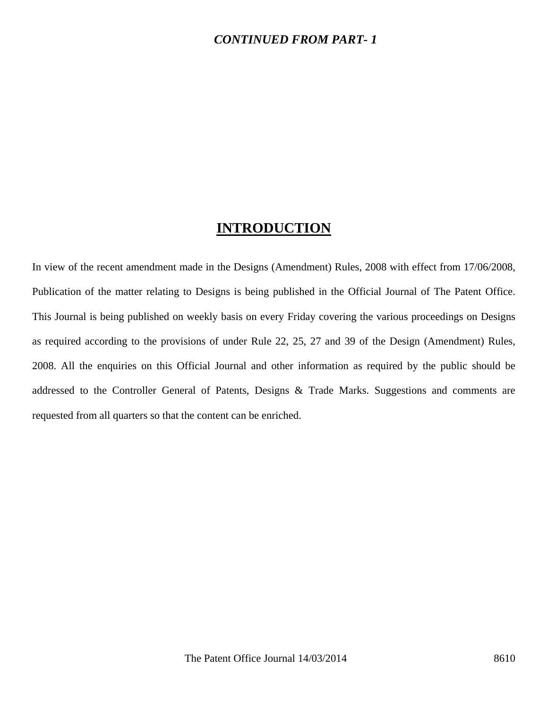#### *CONTINUED FROM PART- 1*

## **INTRODUCTION**

In view of the recent amendment made in the Designs (Amendment) Rules, 2008 with effect from 17/06/2008, Publication of the matter relating to Designs is being published in the Official Journal of The Patent Office. This Journal is being published on weekly basis on every Friday covering the various proceedings on Designs as required according to the provisions of under Rule 22, 25, 27 and 39 of the Design (Amendment) Rules, 2008. All the enquiries on this Official Journal and other information as required by the public should be addressed to the Controller General of Patents, Designs & Trade Marks. Suggestions and comments are requested from all quarters so that the content can be enriched.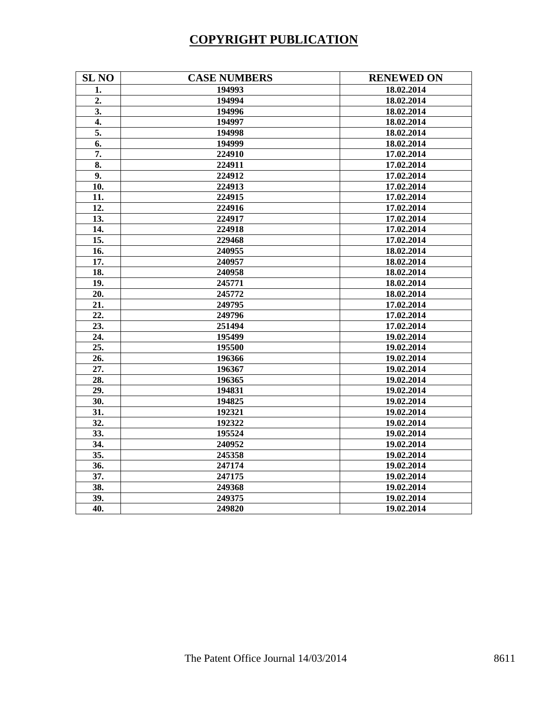# **COPYRIGHT PUBLICATION**

| <b>SL NO</b>     | <b>CASE NUMBERS</b> | <b>RENEWED ON</b> |
|------------------|---------------------|-------------------|
| 1.               | 194993              | 18.02.2014        |
| $\overline{2}$ . | 194994              | 18.02.2014        |
| 3.               | 194996              | 18.02.2014        |
| $\overline{4}$ . | 194997              | 18.02.2014        |
| 5.               | 194998              | 18.02.2014        |
| 6.               | 194999              | 18.02.2014        |
| $\overline{7}$ . | 224910              | 17.02.2014        |
| 8.               | 224911              | 17.02.2014        |
| 9.               | 224912              | 17.02.2014        |
| 10.              | 224913              | 17.02.2014        |
| 11.              | 224915              | 17.02.2014        |
| 12.              | 224916              | 17.02.2014        |
| 13.              | 224917              | 17.02.2014        |
| 14.              | 224918              | 17.02.2014        |
| 15.              | 229468              | 17.02.2014        |
| 16.              | 240955              | 18.02.2014        |
| 17.              | 240957              | 18.02.2014        |
| 18.              | 240958              | 18.02.2014        |
| 19.              | 245771              | 18.02.2014        |
| 20.              | 245772              | 18.02.2014        |
| 21.              | 249795              | 17.02.2014        |
| 22.              | 249796              | 17.02.2014        |
| 23.              | 251494              | 17.02.2014        |
| 24.              | 195499              | 19.02.2014        |
| 25.              | 195500              | 19.02.2014        |
| 26.              | 196366              | 19.02.2014        |
| 27.              | 196367              | 19.02.2014        |
| 28.              | 196365              | 19.02.2014        |
| 29.              | 194831              | 19.02.2014        |
| 30.              | 194825              | 19.02.2014        |
| 31.              | 192321              | 19.02.2014        |
| 32.              | 192322              | 19.02.2014        |
| 33.              | 195524              | 19.02.2014        |
| 34.              | 240952              | 19.02.2014        |
| 35.              | 245358              | 19.02.2014        |
| 36.              | 247174              | 19.02.2014        |
| 37.              | 247175              | 19.02.2014        |
| 38.              | 249368              | 19.02.2014        |
| 39.              | 249375              | 19.02.2014        |
| 40.              | 249820              | 19.02.2014        |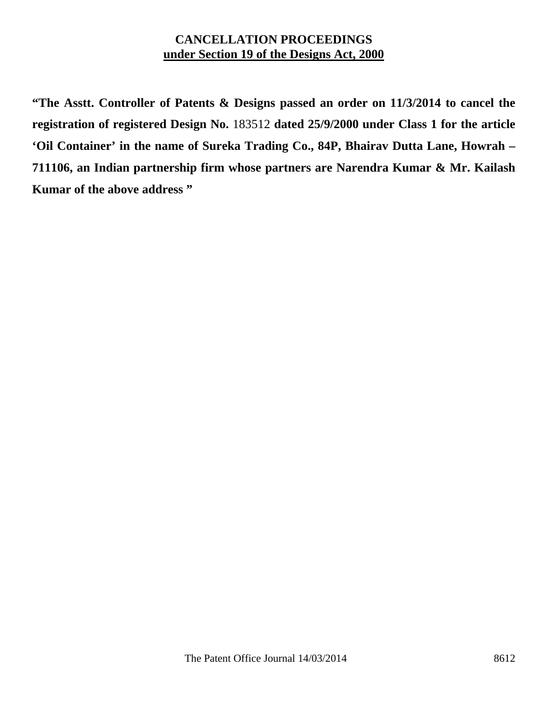### **CANCELLATION PROCEEDINGS under Section 19 of the Designs Act, 2000**

**"The Asstt. Controller of Patents & Designs passed an order on 11/3/2014 to cancel the registration of registered Design No.** 183512 **dated 25/9/2000 under Class 1 for the article 'Oil Container' in the name of Sureka Trading Co., 84P, Bhairav Dutta Lane, Howrah – 711106, an Indian partnership firm whose partners are Narendra Kumar & Mr. Kailash Kumar of the above address "**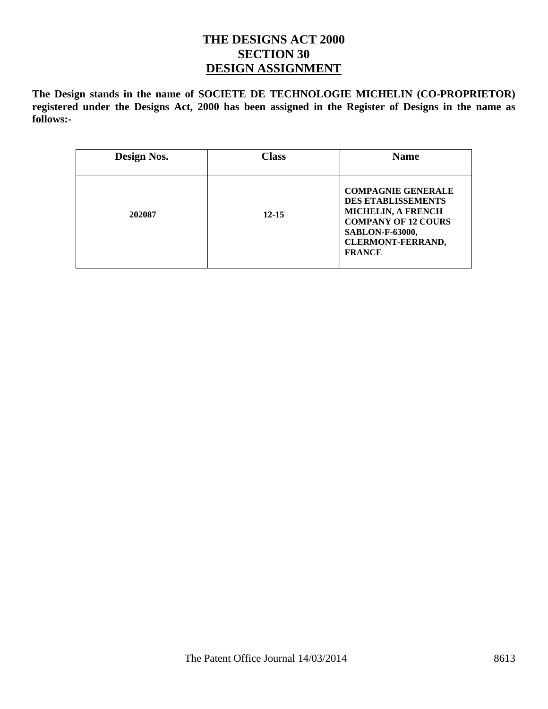#### **THE DESIGNS ACT 2000 SECTION 30 DESIGN ASSIGNMENT**

**The Design stands in the name of SOCIETE DE TECHNOLOGIE MICHELIN (CO-PROPRIETOR) registered under the Designs Act, 2000 has been assigned in the Register of Designs in the name as follows:-** 

| Design Nos. | <b>Class</b> | <b>Name</b>                                                                                                                                                                              |
|-------------|--------------|------------------------------------------------------------------------------------------------------------------------------------------------------------------------------------------|
| 202087      | $12 - 15$    | <b>COMPAGNIE GENERALE</b><br><b>DES ETABLISSEMENTS</b><br><b>MICHELIN, A FRENCH</b><br><b>COMPANY OF 12 COURS</b><br><b>SABLON-F-63000,</b><br><b>CLERMONT-FERRAND,</b><br><b>FRANCE</b> |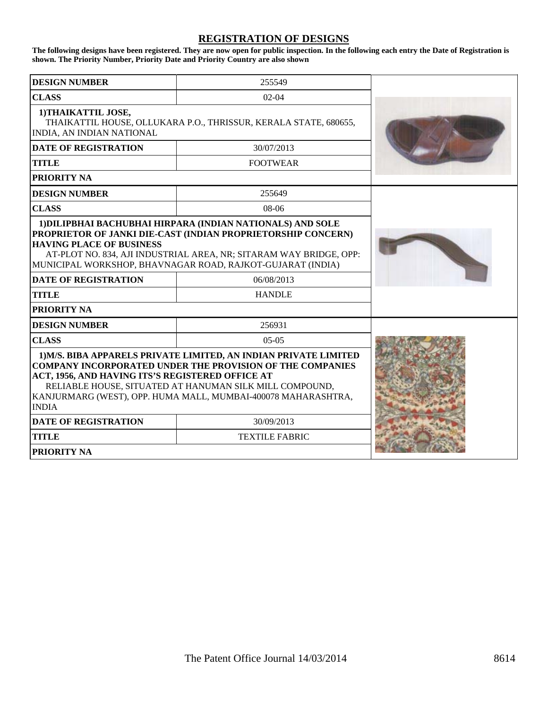#### **REGISTRATION OF DESIGNS**

**The following designs have been registered. They are now open for public inspection. In the following each entry the Date of Registration is shown. The Priority Number, Priority Date and Priority Country are also shown**

| <b>DESIGN NUMBER</b>                                                                                                                                                                                                                                                                                                          | 255549                |  |
|-------------------------------------------------------------------------------------------------------------------------------------------------------------------------------------------------------------------------------------------------------------------------------------------------------------------------------|-----------------------|--|
| <b>CLASS</b>                                                                                                                                                                                                                                                                                                                  | $02 - 04$             |  |
| 1) THAIKATTIL JOSE,<br>THAIKATTIL HOUSE, OLLUKARA P.O., THRISSUR, KERALA STATE, 680655,<br>INDIA, AN INDIAN NATIONAL                                                                                                                                                                                                          |                       |  |
| <b>DATE OF REGISTRATION</b>                                                                                                                                                                                                                                                                                                   | 30/07/2013            |  |
| <b>TITLE</b>                                                                                                                                                                                                                                                                                                                  | <b>FOOTWEAR</b>       |  |
| <b>PRIORITY NA</b>                                                                                                                                                                                                                                                                                                            |                       |  |
| <b>DESIGN NUMBER</b>                                                                                                                                                                                                                                                                                                          | 255649                |  |
| <b>CLASS</b>                                                                                                                                                                                                                                                                                                                  | $08-06$               |  |
| 1) DILIPBHAI BACHUBHAI HIRPARA (INDIAN NATIONALS) AND SOLE<br>PROPRIETOR OF JANKI DIE-CAST (INDIAN PROPRIETORSHIP CONCERN)<br><b>HAVING PLACE OF BUSINESS</b><br>AT-PLOT NO. 834, AJI INDUSTRIAL AREA, NR; SITARAM WAY BRIDGE, OPP:<br>MUNICIPAL WORKSHOP, BHAVNAGAR ROAD, RAJKOT-GUJARAT (INDIA)                             |                       |  |
| <b>DATE OF REGISTRATION</b>                                                                                                                                                                                                                                                                                                   | 06/08/2013            |  |
| <b>TITLE</b>                                                                                                                                                                                                                                                                                                                  | <b>HANDLE</b>         |  |
| <b>PRIORITY NA</b>                                                                                                                                                                                                                                                                                                            |                       |  |
| <b>DESIGN NUMBER</b>                                                                                                                                                                                                                                                                                                          | 256931                |  |
| <b>CLASS</b>                                                                                                                                                                                                                                                                                                                  | $05-05$               |  |
| 1) M/S. BIBA APPARELS PRIVATE LIMITED, AN INDIAN PRIVATE LIMITED<br>COMPANY INCORPORATED UNDER THE PROVISION OF THE COMPANIES<br>ACT, 1956, AND HAVING ITS'S REGISTERED OFFICE AT<br>RELIABLE HOUSE, SITUATED AT HANUMAN SILK MILL COMPOUND,<br>KANJURMARG (WEST), OPP. HUMA MALL, MUMBAI-400078 MAHARASHTRA,<br><b>INDIA</b> |                       |  |
| <b>DATE OF REGISTRATION</b>                                                                                                                                                                                                                                                                                                   | 30/09/2013            |  |
| <b>TITLE</b>                                                                                                                                                                                                                                                                                                                  | <b>TEXTILE FABRIC</b> |  |
| <b>PRIORITY NA</b>                                                                                                                                                                                                                                                                                                            |                       |  |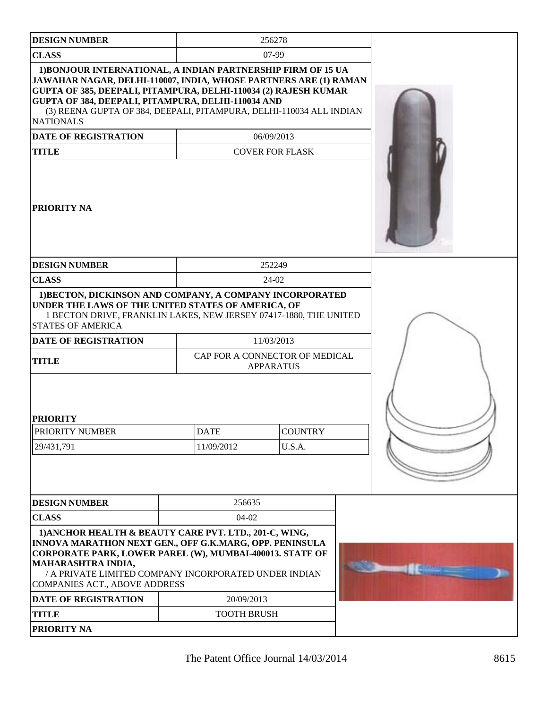| <b>DESIGN NUMBER</b>                                                                                                                                                                                                                                                                                                                                                                                       |  |                                      | 256278                                             |  |  |
|------------------------------------------------------------------------------------------------------------------------------------------------------------------------------------------------------------------------------------------------------------------------------------------------------------------------------------------------------------------------------------------------------------|--|--------------------------------------|----------------------------------------------------|--|--|
| <b>CLASS</b>                                                                                                                                                                                                                                                                                                                                                                                               |  | $07-99$                              |                                                    |  |  |
| 1) BONJOUR INTERNATIONAL, A INDIAN PARTNERSHIP FIRM OF 15 UA<br>JAWAHAR NAGAR, DELHI-110007, INDIA, WHOSE PARTNERS ARE (1) RAMAN<br><b>GUPTA OF 385, DEEPALI, PITAMPURA, DELHI-110034 (2) RAJESH KUMAR</b><br>GUPTA OF 384, DEEPALI, PITAMPURA, DELHI-110034 AND<br>(3) REENA GUPTA OF 384, DEEPALI, PITAMPURA, DELHI-110034 ALL INDIAN<br><b>NATIONALS</b><br><b>DATE OF REGISTRATION</b><br><b>TITLE</b> |  | 06/09/2013<br><b>COVER FOR FLASK</b> |                                                    |  |  |
| <b>PRIORITY NA</b>                                                                                                                                                                                                                                                                                                                                                                                         |  |                                      |                                                    |  |  |
| <b>DESIGN NUMBER</b>                                                                                                                                                                                                                                                                                                                                                                                       |  |                                      | 252249                                             |  |  |
| <b>CLASS</b>                                                                                                                                                                                                                                                                                                                                                                                               |  |                                      | 24-02                                              |  |  |
| 1) BECTON, DICKINSON AND COMPANY, A COMPANY INCORPORATED<br>UNDER THE LAWS OF THE UNITED STATES OF AMERICA, OF<br>1 BECTON DRIVE, FRANKLIN LAKES, NEW JERSEY 07417-1880, THE UNITED<br><b>STATES OF AMERICA</b>                                                                                                                                                                                            |  |                                      |                                                    |  |  |
| <b>DATE OF REGISTRATION</b>                                                                                                                                                                                                                                                                                                                                                                                |  | 11/03/2013                           |                                                    |  |  |
| <b>TITLE</b>                                                                                                                                                                                                                                                                                                                                                                                               |  |                                      | CAP FOR A CONNECTOR OF MEDICAL<br><b>APPARATUS</b> |  |  |
| <b>PRIORITY</b>                                                                                                                                                                                                                                                                                                                                                                                            |  |                                      |                                                    |  |  |
| PRIORITY NUMBER                                                                                                                                                                                                                                                                                                                                                                                            |  | <b>DATE</b>                          | <b>COUNTRY</b>                                     |  |  |
| 29/431,791                                                                                                                                                                                                                                                                                                                                                                                                 |  | 11/09/2012                           | U.S.A.                                             |  |  |
|                                                                                                                                                                                                                                                                                                                                                                                                            |  |                                      |                                                    |  |  |
| <b>DESIGN NUMBER</b>                                                                                                                                                                                                                                                                                                                                                                                       |  | 256635                               |                                                    |  |  |
| <b>CLASS</b>                                                                                                                                                                                                                                                                                                                                                                                               |  | 04-02                                |                                                    |  |  |
| 1) ANCHOR HEALTH & BEAUTY CARE PVT. LTD., 201-C, WING,<br>INNOVA MARATHON NEXT GEN., OFF G.K.MARG, OPP. PENINSULA<br>CORPORATE PARK, LOWER PAREL (W), MUMBAI-400013. STATE OF<br>MAHARASHTRA INDIA,<br>/ A PRIVATE LIMITED COMPANY INCORPORATED UNDER INDIAN<br>COMPANIES ACT., ABOVE ADDRESS                                                                                                              |  |                                      |                                                    |  |  |
| <b>DATE OF REGISTRATION</b>                                                                                                                                                                                                                                                                                                                                                                                |  | 20/09/2013                           |                                                    |  |  |
| <b>TITLE</b>                                                                                                                                                                                                                                                                                                                                                                                               |  | <b>TOOTH BRUSH</b>                   |                                                    |  |  |
| PRIORITY NA                                                                                                                                                                                                                                                                                                                                                                                                |  |                                      |                                                    |  |  |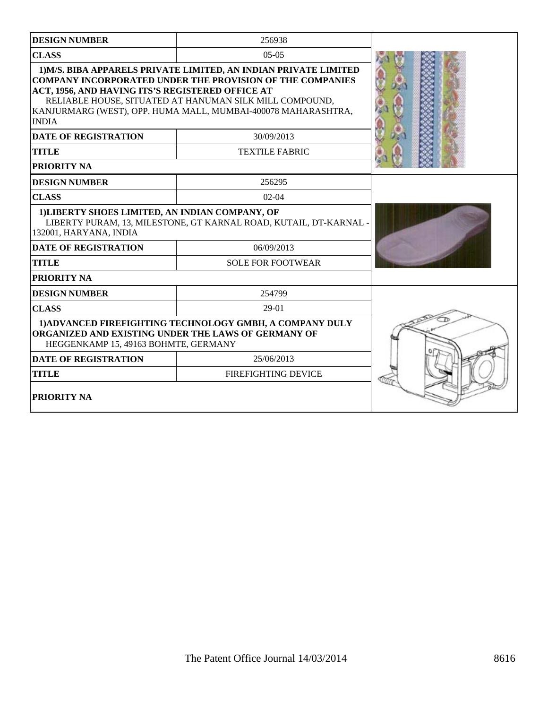| <b>DESIGN NUMBER</b>                                                                                                                                                                                                                                                                                                                 | 256938                                                          |  |
|--------------------------------------------------------------------------------------------------------------------------------------------------------------------------------------------------------------------------------------------------------------------------------------------------------------------------------------|-----------------------------------------------------------------|--|
| <b>CLASS</b>                                                                                                                                                                                                                                                                                                                         |                                                                 |  |
| 1) M/S. BIBA APPARELS PRIVATE LIMITED, AN INDIAN PRIVATE LIMITED<br><b>COMPANY INCORPORATED UNDER THE PROVISION OF THE COMPANIES</b><br>ACT, 1956, AND HAVING ITS'S REGISTERED OFFICE AT<br>RELIABLE HOUSE, SITUATED AT HANUMAN SILK MILL COMPOUND,<br>KANJURMARG (WEST), OPP. HUMA MALL, MUMBAI-400078 MAHARASHTRA,<br><b>INDIA</b> |                                                                 |  |
| <b>DATE OF REGISTRATION</b>                                                                                                                                                                                                                                                                                                          | 30/09/2013                                                      |  |
| <b>TITLE</b>                                                                                                                                                                                                                                                                                                                         | <b>TEXTILE FABRIC</b>                                           |  |
| PRIORITY NA                                                                                                                                                                                                                                                                                                                          |                                                                 |  |
| <b>DESIGN NUMBER</b>                                                                                                                                                                                                                                                                                                                 | 256295                                                          |  |
| <b>CLASS</b>                                                                                                                                                                                                                                                                                                                         | $02-04$                                                         |  |
| 1) LIBERTY SHOES LIMITED, AN INDIAN COMPANY, OF<br>132001, HARYANA, INDIA                                                                                                                                                                                                                                                            | LIBERTY PURAM, 13, MILESTONE, GT KARNAL ROAD, KUTAIL, DT-KARNAL |  |
| 06/09/2013<br><b>DATE OF REGISTRATION</b>                                                                                                                                                                                                                                                                                            |                                                                 |  |
| <b>TITLE</b>                                                                                                                                                                                                                                                                                                                         | <b>SOLE FOR FOOTWEAR</b>                                        |  |
| PRIORITY NA                                                                                                                                                                                                                                                                                                                          |                                                                 |  |
| <b>DESIGN NUMBER</b>                                                                                                                                                                                                                                                                                                                 | 254799                                                          |  |
| <b>CLASS</b>                                                                                                                                                                                                                                                                                                                         | $29-01$                                                         |  |
| 1) ADVANCED FIREFIGHTING TECHNOLOGY GMBH, A COMPANY DULY<br>ORGANIZED AND EXISTING UNDER THE LAWS OF GERMANY OF<br>HEGGENKAMP 15, 49163 BOHMTE, GERMANY                                                                                                                                                                              |                                                                 |  |
| <b>DATE OF REGISTRATION</b>                                                                                                                                                                                                                                                                                                          |                                                                 |  |
| <b>FIREFIGHTING DEVICE</b><br><b>TITLE</b>                                                                                                                                                                                                                                                                                           |                                                                 |  |
| PRIORITY NA                                                                                                                                                                                                                                                                                                                          |                                                                 |  |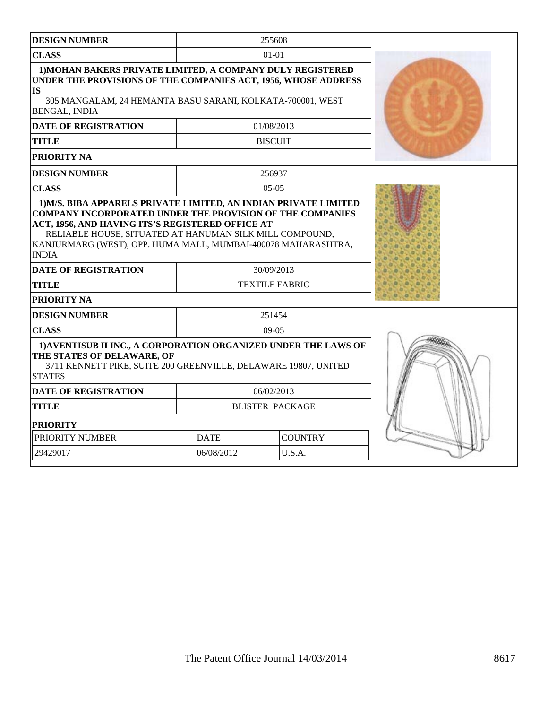| <b>DESIGN NUMBER</b>                                                                                                                                                                                                                        |                               | 255608                              |  |
|---------------------------------------------------------------------------------------------------------------------------------------------------------------------------------------------------------------------------------------------|-------------------------------|-------------------------------------|--|
| <b>CLASS</b>                                                                                                                                                                                                                                |                               | $01-01$                             |  |
| 1) MOHAN BAKERS PRIVATE LIMITED, A COMPANY DULY REGISTERED<br>UNDER THE PROVISIONS OF THE COMPANIES ACT, 1956, WHOSE ADDRESS<br><b>IS</b><br>305 MANGALAM, 24 HEMANTA BASU SARANI, KOLKATA-700001, WEST<br><b>BENGAL, INDIA</b>             |                               |                                     |  |
| <b>DATE OF REGISTRATION</b>                                                                                                                                                                                                                 |                               | 01/08/2013                          |  |
| <b>TITLE</b>                                                                                                                                                                                                                                |                               | <b>BISCUIT</b>                      |  |
| <b>PRIORITY NA</b>                                                                                                                                                                                                                          |                               |                                     |  |
| <b>DESIGN NUMBER</b>                                                                                                                                                                                                                        |                               | 256937                              |  |
| <b>CLASS</b>                                                                                                                                                                                                                                |                               | $05-05$                             |  |
| ACT, 1956, AND HAVING ITS'S REGISTERED OFFICE AT<br>RELIABLE HOUSE, SITUATED AT HANUMAN SILK MILL COMPOUND,<br>KANJURMARG (WEST), OPP. HUMA MALL, MUMBAI-400078 MAHARASHTRA,<br><b>INDIA</b><br><b>DATE OF REGISTRATION</b><br><b>TITLE</b> |                               | 30/09/2013<br><b>TEXTILE FABRIC</b> |  |
| <b>PRIORITY NA</b>                                                                                                                                                                                                                          |                               |                                     |  |
| <b>DESIGN NUMBER</b>                                                                                                                                                                                                                        |                               | 251454                              |  |
| <b>CLASS</b>                                                                                                                                                                                                                                |                               | $09-05$                             |  |
| 1) AVENTISUB II INC., A CORPORATION ORGANIZED UNDER THE LAWS OF<br>THE STATES OF DELAWARE, OF<br>3711 KENNETT PIKE, SUITE 200 GREENVILLE, DELAWARE 19807, UNITED<br><b>STATES</b>                                                           |                               |                                     |  |
| <b>DATE OF REGISTRATION</b>                                                                                                                                                                                                                 |                               | 06/02/2013                          |  |
| <b>TITLE</b>                                                                                                                                                                                                                                |                               | <b>BLISTER PACKAGE</b>              |  |
| <b>PRIORITY</b>                                                                                                                                                                                                                             |                               |                                     |  |
| PRIORITY NUMBER                                                                                                                                                                                                                             | <b>COUNTRY</b><br><b>DATE</b> |                                     |  |
| 29429017                                                                                                                                                                                                                                    | 06/08/2012<br>U.S.A.          |                                     |  |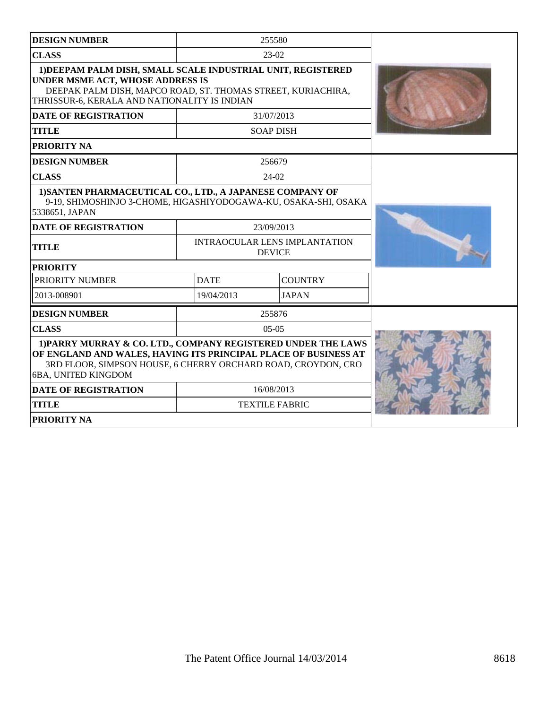| <b>DESIGN NUMBER</b>                                                                                                                                                                                                     |             | 255580                                                |  |
|--------------------------------------------------------------------------------------------------------------------------------------------------------------------------------------------------------------------------|-------------|-------------------------------------------------------|--|
| <b>CLASS</b>                                                                                                                                                                                                             |             | 23-02                                                 |  |
| 1) DEEPAM PALM DISH, SMALL SCALE INDUSTRIAL UNIT, REGISTERED<br><b>UNDER MSME ACT, WHOSE ADDRESS IS</b><br>DEEPAK PALM DISH, MAPCO ROAD, ST. THOMAS STREET, KURIACHIRA,<br>THRISSUR-6, KERALA AND NATIONALITY IS INDIAN  |             |                                                       |  |
| <b>DATE OF REGISTRATION</b>                                                                                                                                                                                              |             | 31/07/2013                                            |  |
| <b>TITLE</b>                                                                                                                                                                                                             |             | <b>SOAP DISH</b>                                      |  |
| <b>PRIORITY NA</b>                                                                                                                                                                                                       |             |                                                       |  |
| <b>DESIGN NUMBER</b>                                                                                                                                                                                                     |             | 256679                                                |  |
| <b>CLASS</b>                                                                                                                                                                                                             |             | 24-02                                                 |  |
| 1) SANTEN PHARMACEUTICAL CO., LTD., A JAPANESE COMPANY OF<br>9-19, SHIMOSHINJO 3-CHOME, HIGASHIYODOGAWA-KU, OSAKA-SHI, OSAKA<br>5338651, JAPAN                                                                           |             |                                                       |  |
| <b>DATE OF REGISTRATION</b>                                                                                                                                                                                              |             | 23/09/2013                                            |  |
| <b>TITLE</b>                                                                                                                                                                                                             |             | <b>INTRAOCULAR LENS IMPLANTATION</b><br><b>DEVICE</b> |  |
| <b>PRIORITY</b>                                                                                                                                                                                                          |             |                                                       |  |
| PRIORITY NUMBER                                                                                                                                                                                                          | <b>DATE</b> | <b>COUNTRY</b>                                        |  |
| 2013-008901                                                                                                                                                                                                              | 19/04/2013  | <b>JAPAN</b>                                          |  |
| <b>DESIGN NUMBER</b>                                                                                                                                                                                                     |             | 255876                                                |  |
| <b>CLASS</b>                                                                                                                                                                                                             |             | $05-05$                                               |  |
| 1) PARRY MURRAY & CO. LTD., COMPANY REGISTERED UNDER THE LAWS<br>OF ENGLAND AND WALES, HAVING ITS PRINCIPAL PLACE OF BUSINESS AT<br>3RD FLOOR, SIMPSON HOUSE, 6 CHERRY ORCHARD ROAD, CROYDON, CRO<br>6BA, UNITED KINGDOM |             |                                                       |  |
| <b>DATE OF REGISTRATION</b>                                                                                                                                                                                              | 16/08/2013  |                                                       |  |
| <b>TITLE</b>                                                                                                                                                                                                             |             | <b>TEXTILE FABRIC</b>                                 |  |
| <b>PRIORITY NA</b>                                                                                                                                                                                                       |             |                                                       |  |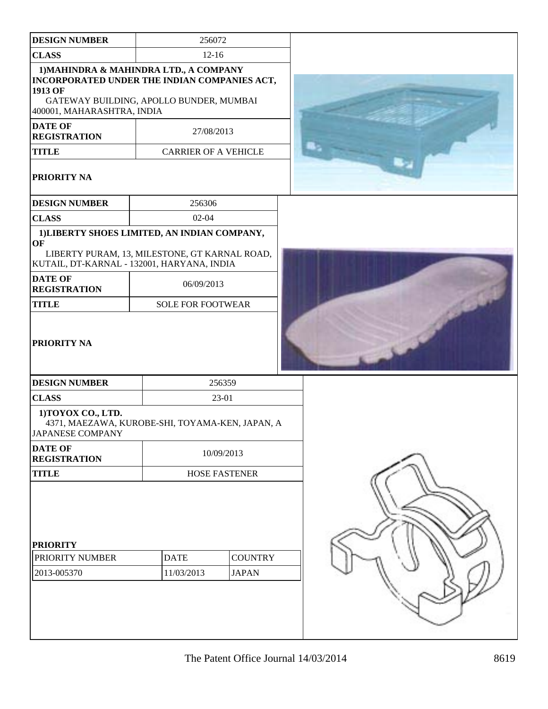| <b>DESIGN NUMBER</b>                              | 256072                                                                                                                            |  |
|---------------------------------------------------|-----------------------------------------------------------------------------------------------------------------------------------|--|
| <b>CLASS</b>                                      | $12 - 16$                                                                                                                         |  |
| 1913 OF<br>400001, MAHARASHTRA, INDIA             | 1) MAHINDRA & MAHINDRA LTD., A COMPANY<br>INCORPORATED UNDER THE INDIAN COMPANIES ACT,<br>GATEWAY BUILDING, APOLLO BUNDER, MUMBAI |  |
| <b>DATE OF</b><br><b>REGISTRATION</b>             | 27/08/2013                                                                                                                        |  |
| <b>TITLE</b>                                      | <b>CARRIER OF A VEHICLE</b>                                                                                                       |  |
| PRIORITY NA                                       |                                                                                                                                   |  |
| <b>DESIGN NUMBER</b>                              | 256306                                                                                                                            |  |
| <b>CLASS</b>                                      | $02 - 04$                                                                                                                         |  |
| OF                                                | 1) LIBERTY SHOES LIMITED, AN INDIAN COMPANY,                                                                                      |  |
|                                                   | LIBERTY PURAM, 13, MILESTONE, GT KARNAL ROAD,<br>KUTAIL, DT-KARNAL - 132001, HARYANA, INDIA                                       |  |
| <b>DATE OF</b><br><b>REGISTRATION</b>             | 06/09/2013                                                                                                                        |  |
| <b>TITLE</b>                                      | <b>SOLE FOR FOOTWEAR</b>                                                                                                          |  |
| PRIORITY NA                                       |                                                                                                                                   |  |
| <b>DESIGN NUMBER</b>                              | 256359                                                                                                                            |  |
| <b>CLASS</b>                                      | 23-01                                                                                                                             |  |
| 1) TOYOX CO., LTD.<br>JAPANESE COMPANY            | 4371, MAEZAWA, KUROBE-SHI, TOYAMA-KEN, JAPAN, A                                                                                   |  |
| <b>DATE OF</b><br><b>REGISTRATION</b>             | 10/09/2013                                                                                                                        |  |
| <b>TITLE</b><br><b>HOSE FASTENER</b>              |                                                                                                                                   |  |
| <b>PRIORITY</b><br>PRIORITY NUMBER<br>2013-005370 | <b>COUNTRY</b><br><b>DATE</b><br>11/03/2013<br><b>JAPAN</b>                                                                       |  |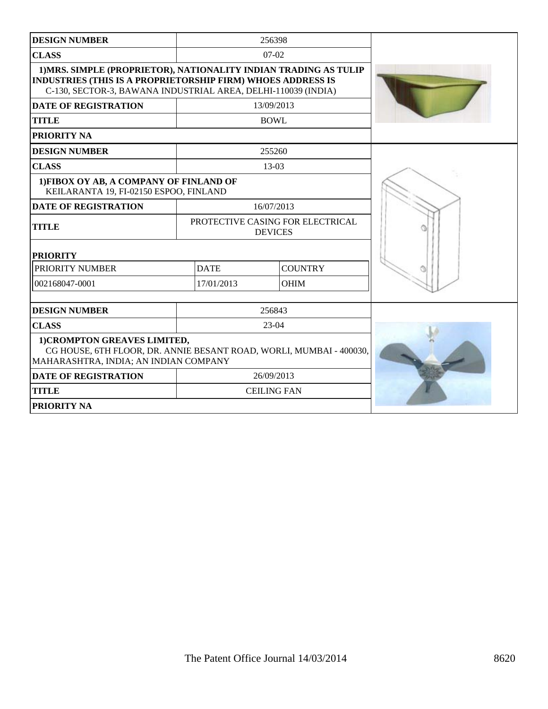| <b>DESIGN NUMBER</b>                                                                                                                                                                                    |             | 256398                                             |  |
|---------------------------------------------------------------------------------------------------------------------------------------------------------------------------------------------------------|-------------|----------------------------------------------------|--|
| <b>CLASS</b>                                                                                                                                                                                            |             | $07 - 02$                                          |  |
| 1) MRS. SIMPLE (PROPRIETOR), NATIONALITY INDIAN TRADING AS TULIP<br><b>INDUSTRIES (THIS IS A PROPRIETORSHIP FIRM) WHOES ADDRESS IS</b><br>C-130, SECTOR-3, BAWANA INDUSTRIAL AREA, DELHI-110039 (INDIA) |             |                                                    |  |
| <b>DATE OF REGISTRATION</b>                                                                                                                                                                             |             | 13/09/2013                                         |  |
| <b>TITLE</b>                                                                                                                                                                                            |             | <b>BOWL</b>                                        |  |
| PRIORITY NA                                                                                                                                                                                             |             |                                                    |  |
| <b>DESIGN NUMBER</b>                                                                                                                                                                                    |             | 255260                                             |  |
| <b>CLASS</b>                                                                                                                                                                                            |             | $13-03$                                            |  |
| 1) FIBOX OY AB, A COMPANY OF FINLAND OF<br>KEILARANTA 19, FI-02150 ESPOO, FINLAND                                                                                                                       |             |                                                    |  |
| <b>DATE OF REGISTRATION</b>                                                                                                                                                                             |             | 16/07/2013                                         |  |
| <b>TITLE</b>                                                                                                                                                                                            |             | PROTECTIVE CASING FOR ELECTRICAL<br><b>DEVICES</b> |  |
| <b>PRIORITY</b>                                                                                                                                                                                         |             |                                                    |  |
| PRIORITY NUMBER                                                                                                                                                                                         | <b>DATE</b> | <b>COUNTRY</b>                                     |  |
| 002168047-0001                                                                                                                                                                                          | 17/01/2013  | <b>OHIM</b>                                        |  |
| <b>DESIGN NUMBER</b>                                                                                                                                                                                    |             | 256843                                             |  |
| <b>CLASS</b>                                                                                                                                                                                            |             | $23-04$                                            |  |
| 1) CROMPTON GREAVES LIMITED,<br>CG HOUSE, 6TH FLOOR, DR. ANNIE BESANT ROAD, WORLI, MUMBAI - 400030,<br>MAHARASHTRA, INDIA; AN INDIAN COMPANY                                                            |             |                                                    |  |
| <b>DATE OF REGISTRATION</b>                                                                                                                                                                             |             | 26/09/2013                                         |  |
| <b>TITLE</b>                                                                                                                                                                                            |             | <b>CEILING FAN</b>                                 |  |
| <b>PRIORITY NA</b>                                                                                                                                                                                      |             |                                                    |  |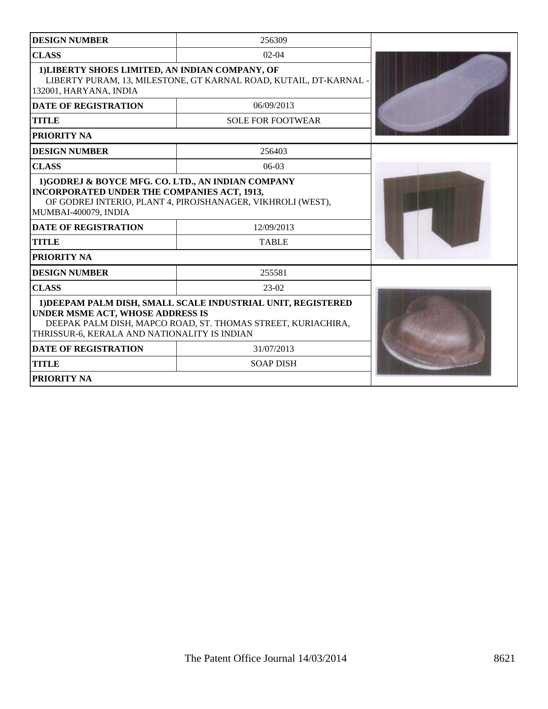| <b>DESIGN NUMBER</b>                                                                                                                                                                                                    | 256309                                                            |  |  |
|-------------------------------------------------------------------------------------------------------------------------------------------------------------------------------------------------------------------------|-------------------------------------------------------------------|--|--|
| <b>CLASS</b>                                                                                                                                                                                                            | $02-04$                                                           |  |  |
| 1) LIBERTY SHOES LIMITED, AN INDIAN COMPANY, OF<br>132001, HARYANA, INDIA                                                                                                                                               | LIBERTY PURAM, 13, MILESTONE, GT KARNAL ROAD, KUTAIL, DT-KARNAL - |  |  |
| <b>DATE OF REGISTRATION</b>                                                                                                                                                                                             | 06/09/2013                                                        |  |  |
| <b>TITLE</b>                                                                                                                                                                                                            | <b>SOLE FOR FOOTWEAR</b>                                          |  |  |
| <b>PRIORITY NA</b>                                                                                                                                                                                                      |                                                                   |  |  |
| <b>DESIGN NUMBER</b>                                                                                                                                                                                                    | 256403                                                            |  |  |
| <b>CLASS</b>                                                                                                                                                                                                            | $06-03$                                                           |  |  |
| <b>INCORPORATED UNDER THE COMPANIES ACT, 1913,</b><br>OF GODREJ INTERIO, PLANT 4, PIROJSHANAGER, VIKHROLI (WEST),<br>MUMBAI-400079, INDIA<br><b>DATE OF REGISTRATION</b>                                                |                                                                   |  |  |
| <b>TITLE</b>                                                                                                                                                                                                            | 12/09/2013<br><b>TABLE</b>                                        |  |  |
| <b>PRIORITY NA</b>                                                                                                                                                                                                      |                                                                   |  |  |
| <b>DESIGN NUMBER</b>                                                                                                                                                                                                    | 255581                                                            |  |  |
| <b>CLASS</b>                                                                                                                                                                                                            | $23-02$                                                           |  |  |
| 1) DEEPAM PALM DISH, SMALL SCALE INDUSTRIAL UNIT, REGISTERED<br><b>UNDER MSME ACT, WHOSE ADDRESS IS</b><br>DEEPAK PALM DISH, MAPCO ROAD, ST. THOMAS STREET, KURIACHIRA,<br>THRISSUR-6, KERALA AND NATIONALITY IS INDIAN |                                                                   |  |  |
| <b>DATE OF REGISTRATION</b>                                                                                                                                                                                             | 31/07/2013                                                        |  |  |
| <b>SOAP DISH</b><br><b>TITLE</b>                                                                                                                                                                                        |                                                                   |  |  |
| <b>PRIORITY NA</b>                                                                                                                                                                                                      |                                                                   |  |  |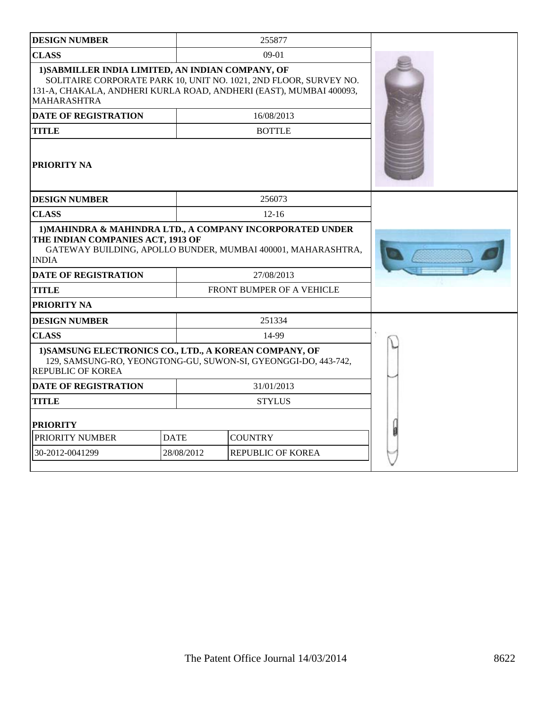| <b>CLASS</b><br>09-01<br>1) SABMILLER INDIA LIMITED, AN INDIAN COMPANY, OF<br>SOLITAIRE CORPORATE PARK 10, UNIT NO. 1021, 2ND FLOOR, SURVEY NO.<br>131-A, CHAKALA, ANDHERI KURLA ROAD, ANDHERI (EAST), MUMBAI 400093,<br><b>MAHARASHTRA</b><br>16/08/2013<br><b>DATE OF REGISTRATION</b><br><b>BOTTLE</b><br><b>TITLE</b><br>PRIORITY NA<br>256073<br><b>DESIGN NUMBER</b><br><b>CLASS</b><br>$12 - 16$<br>1) MAHINDRA & MAHINDRA LTD., A COMPANY INCORPORATED UNDER<br>THE INDIAN COMPANIES ACT, 1913 OF<br>GATEWAY BUILDING, APOLLO BUNDER, MUMBAI 400001, MAHARASHTRA,<br><b>INDIA</b><br>27/08/2013<br><b>DATE OF REGISTRATION</b><br><b>TITLE</b><br>FRONT BUMPER OF A VEHICLE<br><b>PRIORITY NA</b><br>251334<br><b>DESIGN NUMBER</b><br><b>CLASS</b><br>14-99<br>1) SAMSUNG ELECTRONICS CO., LTD., A KOREAN COMPANY, OF<br>129, SAMSUNG-RO, YEONGTONG-GU, SUWON-SI, GYEONGGI-DO, 443-742,<br><b>REPUBLIC OF KOREA</b><br><b>DATE OF REGISTRATION</b><br>31/01/2013<br><b>STYLUS</b><br><b>TITLE</b><br><b>PRIORITY</b><br>PRIORITY NUMBER<br><b>DATE</b><br><b>COUNTRY</b><br>30-2012-0041299<br>28/08/2012<br>REPUBLIC OF KOREA | <b>DESIGN NUMBER</b> |  | 255877 |  |
|-----------------------------------------------------------------------------------------------------------------------------------------------------------------------------------------------------------------------------------------------------------------------------------------------------------------------------------------------------------------------------------------------------------------------------------------------------------------------------------------------------------------------------------------------------------------------------------------------------------------------------------------------------------------------------------------------------------------------------------------------------------------------------------------------------------------------------------------------------------------------------------------------------------------------------------------------------------------------------------------------------------------------------------------------------------------------------------------------------------------------------------------|----------------------|--|--------|--|
|                                                                                                                                                                                                                                                                                                                                                                                                                                                                                                                                                                                                                                                                                                                                                                                                                                                                                                                                                                                                                                                                                                                                         |                      |  |        |  |
|                                                                                                                                                                                                                                                                                                                                                                                                                                                                                                                                                                                                                                                                                                                                                                                                                                                                                                                                                                                                                                                                                                                                         |                      |  |        |  |
|                                                                                                                                                                                                                                                                                                                                                                                                                                                                                                                                                                                                                                                                                                                                                                                                                                                                                                                                                                                                                                                                                                                                         |                      |  |        |  |
|                                                                                                                                                                                                                                                                                                                                                                                                                                                                                                                                                                                                                                                                                                                                                                                                                                                                                                                                                                                                                                                                                                                                         |                      |  |        |  |
|                                                                                                                                                                                                                                                                                                                                                                                                                                                                                                                                                                                                                                                                                                                                                                                                                                                                                                                                                                                                                                                                                                                                         |                      |  |        |  |
|                                                                                                                                                                                                                                                                                                                                                                                                                                                                                                                                                                                                                                                                                                                                                                                                                                                                                                                                                                                                                                                                                                                                         |                      |  |        |  |
|                                                                                                                                                                                                                                                                                                                                                                                                                                                                                                                                                                                                                                                                                                                                                                                                                                                                                                                                                                                                                                                                                                                                         |                      |  |        |  |
|                                                                                                                                                                                                                                                                                                                                                                                                                                                                                                                                                                                                                                                                                                                                                                                                                                                                                                                                                                                                                                                                                                                                         |                      |  |        |  |
|                                                                                                                                                                                                                                                                                                                                                                                                                                                                                                                                                                                                                                                                                                                                                                                                                                                                                                                                                                                                                                                                                                                                         |                      |  |        |  |
|                                                                                                                                                                                                                                                                                                                                                                                                                                                                                                                                                                                                                                                                                                                                                                                                                                                                                                                                                                                                                                                                                                                                         |                      |  |        |  |
|                                                                                                                                                                                                                                                                                                                                                                                                                                                                                                                                                                                                                                                                                                                                                                                                                                                                                                                                                                                                                                                                                                                                         |                      |  |        |  |
|                                                                                                                                                                                                                                                                                                                                                                                                                                                                                                                                                                                                                                                                                                                                                                                                                                                                                                                                                                                                                                                                                                                                         |                      |  |        |  |
|                                                                                                                                                                                                                                                                                                                                                                                                                                                                                                                                                                                                                                                                                                                                                                                                                                                                                                                                                                                                                                                                                                                                         |                      |  |        |  |
|                                                                                                                                                                                                                                                                                                                                                                                                                                                                                                                                                                                                                                                                                                                                                                                                                                                                                                                                                                                                                                                                                                                                         |                      |  |        |  |
|                                                                                                                                                                                                                                                                                                                                                                                                                                                                                                                                                                                                                                                                                                                                                                                                                                                                                                                                                                                                                                                                                                                                         |                      |  |        |  |
|                                                                                                                                                                                                                                                                                                                                                                                                                                                                                                                                                                                                                                                                                                                                                                                                                                                                                                                                                                                                                                                                                                                                         |                      |  |        |  |
|                                                                                                                                                                                                                                                                                                                                                                                                                                                                                                                                                                                                                                                                                                                                                                                                                                                                                                                                                                                                                                                                                                                                         |                      |  |        |  |
|                                                                                                                                                                                                                                                                                                                                                                                                                                                                                                                                                                                                                                                                                                                                                                                                                                                                                                                                                                                                                                                                                                                                         |                      |  |        |  |
|                                                                                                                                                                                                                                                                                                                                                                                                                                                                                                                                                                                                                                                                                                                                                                                                                                                                                                                                                                                                                                                                                                                                         |                      |  |        |  |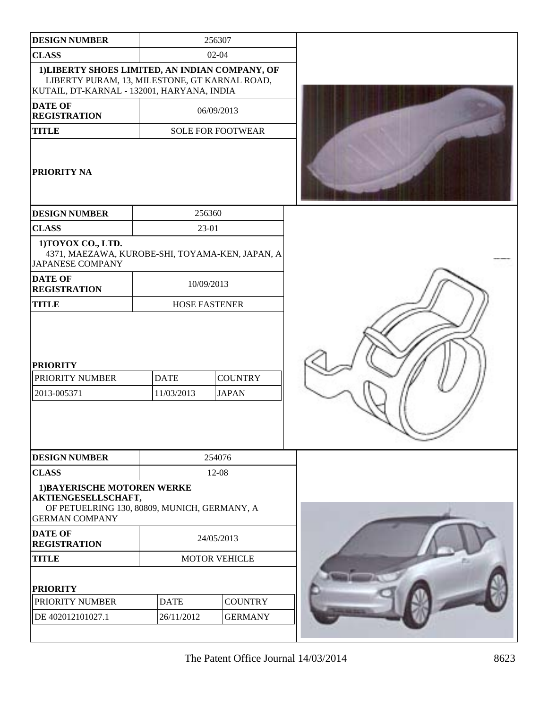| <b>DESIGN NUMBER</b>                                                                                                                           |                           | 256307                         |  |
|------------------------------------------------------------------------------------------------------------------------------------------------|---------------------------|--------------------------------|--|
| <b>CLASS</b>                                                                                                                                   |                           | $02 - 04$                      |  |
| 1) LIBERTY SHOES LIMITED, AN INDIAN COMPANY, OF<br>LIBERTY PURAM, 13, MILESTONE, GT KARNAL ROAD,<br>KUTAIL, DT-KARNAL - 132001, HARYANA, INDIA |                           |                                |  |
| <b>DATE OF</b><br><b>REGISTRATION</b>                                                                                                          | 06/09/2013                |                                |  |
| <b>TITLE</b>                                                                                                                                   |                           | <b>SOLE FOR FOOTWEAR</b>       |  |
| PRIORITY NA                                                                                                                                    |                           |                                |  |
| <b>DESIGN NUMBER</b>                                                                                                                           |                           | 256360                         |  |
| <b>CLASS</b>                                                                                                                                   | 23-01                     |                                |  |
| 1) TOYOX CO., LTD.<br>4371, MAEZAWA, KUROBE-SHI, TOYAMA-KEN, JAPAN, A<br><b>JAPANESE COMPANY</b>                                               |                           |                                |  |
| <b>DATE OF</b><br><b>REGISTRATION</b>                                                                                                          |                           | 10/09/2013                     |  |
| <b>TITLE</b>                                                                                                                                   | <b>HOSE FASTENER</b>      |                                |  |
| <b>PRIORITY</b><br><b>PRIORITY NUMBER</b><br>2013-005371                                                                                       | <b>DATE</b><br>11/03/2013 | <b>COUNTRY</b><br><b>JAPAN</b> |  |
| <b>DESIGN NUMBER</b>                                                                                                                           |                           | 254076                         |  |
| <b>CLASS</b>                                                                                                                                   |                           | 12-08                          |  |
| 1) BAYERISCHE MOTOREN WERKE<br>AKTIENGESELLSCHAFT,<br>OF PETUELRING 130, 80809, MUNICH, GERMANY, A<br><b>GERMAN COMPANY</b>                    |                           |                                |  |
| <b>DATE OF</b><br><b>REGISTRATION</b>                                                                                                          | 24/05/2013                |                                |  |
| <b>TITLE</b>                                                                                                                                   | <b>MOTOR VEHICLE</b>      |                                |  |
| <b>PRIORITY</b>                                                                                                                                |                           |                                |  |
| <b>PRIORITY NUMBER</b>                                                                                                                         | <b>DATE</b>               | <b>COUNTRY</b>                 |  |
| DE 402012101027.1                                                                                                                              | 26/11/2012                | <b>GERMANY</b>                 |  |
|                                                                                                                                                |                           |                                |  |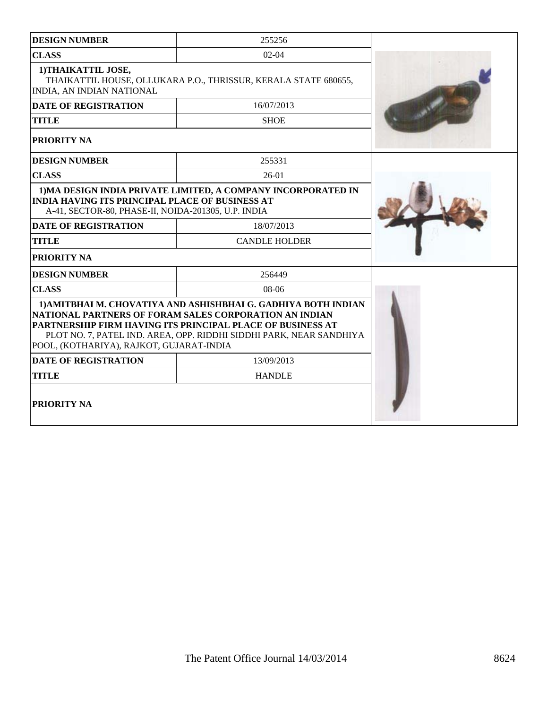| <b>DESIGN NUMBER</b>                                                                                          | 255256                                                                                                                                                                                                                                                        |  |
|---------------------------------------------------------------------------------------------------------------|---------------------------------------------------------------------------------------------------------------------------------------------------------------------------------------------------------------------------------------------------------------|--|
| <b>CLASS</b>                                                                                                  | $02 - 04$                                                                                                                                                                                                                                                     |  |
| 1) THAIKATTIL JOSE,<br>INDIA, AN INDIAN NATIONAL                                                              | THAIKATTIL HOUSE, OLLUKARA P.O., THRISSUR, KERALA STATE 680655,                                                                                                                                                                                               |  |
| <b>DATE OF REGISTRATION</b>                                                                                   | 16/07/2013                                                                                                                                                                                                                                                    |  |
| <b>TITLE</b>                                                                                                  | <b>SHOE</b>                                                                                                                                                                                                                                                   |  |
| <b>PRIORITY NA</b>                                                                                            |                                                                                                                                                                                                                                                               |  |
| <b>DESIGN NUMBER</b>                                                                                          | 255331                                                                                                                                                                                                                                                        |  |
| <b>CLASS</b>                                                                                                  | $26-01$                                                                                                                                                                                                                                                       |  |
| <b>INDIA HAVING ITS PRINCIPAL PLACE OF BUSINESS AT</b><br>A-41, SECTOR-80, PHASE-II, NOIDA-201305, U.P. INDIA | 1) MA DESIGN INDIA PRIVATE LIMITED, A COMPANY INCORPORATED IN                                                                                                                                                                                                 |  |
| <b>DATE OF REGISTRATION</b>                                                                                   | 18/07/2013                                                                                                                                                                                                                                                    |  |
| <b>TITLE</b>                                                                                                  | <b>CANDLE HOLDER</b>                                                                                                                                                                                                                                          |  |
| <b>PRIORITY NA</b>                                                                                            |                                                                                                                                                                                                                                                               |  |
| <b>DESIGN NUMBER</b>                                                                                          | 256449                                                                                                                                                                                                                                                        |  |
| <b>CLASS</b>                                                                                                  | 08-06                                                                                                                                                                                                                                                         |  |
| POOL, (KOTHARIYA), RAJKOT, GUJARAT-INDIA                                                                      | 1) AMITBHAI M. CHOVATIYA AND ASHISHBHAI G. GADHIYA BOTH INDIAN<br>NATIONAL PARTNERS OF FORAM SALES CORPORATION AN INDIAN<br>PARTNERSHIP FIRM HAVING ITS PRINCIPAL PLACE OF BUSINESS AT<br>PLOT NO. 7, PATEL IND. AREA, OPP. RIDDHI SIDDHI PARK, NEAR SANDHIYA |  |
| <b>DATE OF REGISTRATION</b>                                                                                   | 13/09/2013                                                                                                                                                                                                                                                    |  |
| <b>TITLE</b>                                                                                                  | <b>HANDLE</b>                                                                                                                                                                                                                                                 |  |
| <b>PRIORITY NA</b>                                                                                            |                                                                                                                                                                                                                                                               |  |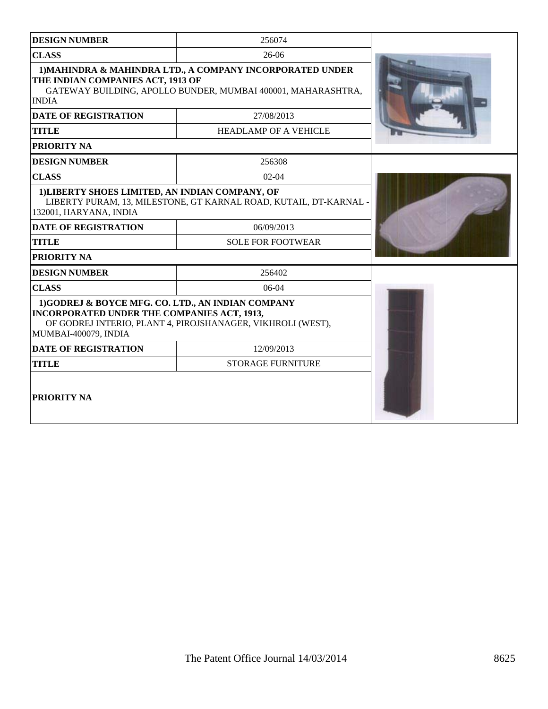| <b>DESIGN NUMBER</b>                                                                                                            | 256074                                                                                                                    |  |
|---------------------------------------------------------------------------------------------------------------------------------|---------------------------------------------------------------------------------------------------------------------------|--|
| <b>CLASS</b>                                                                                                                    | $26-06$                                                                                                                   |  |
| THE INDIAN COMPANIES ACT, 1913 OF<br><b>INDIA</b>                                                                               | 1) MAHINDRA & MAHINDRA LTD., A COMPANY INCORPORATED UNDER<br>GATEWAY BUILDING, APOLLO BUNDER, MUMBAI 400001, MAHARASHTRA, |  |
| <b>DATE OF REGISTRATION</b>                                                                                                     | 27/08/2013                                                                                                                |  |
| <b>TITLE</b>                                                                                                                    | <b>HEADLAMP OF A VEHICLE</b>                                                                                              |  |
| PRIORITY NA                                                                                                                     |                                                                                                                           |  |
| <b>DESIGN NUMBER</b>                                                                                                            | 256308                                                                                                                    |  |
| <b>CLASS</b>                                                                                                                    | $02 - 04$                                                                                                                 |  |
| 1) LIBERTY SHOES LIMITED, AN INDIAN COMPANY, OF<br>132001, HARYANA, INDIA                                                       | LIBERTY PURAM, 13, MILESTONE, GT KARNAL ROAD, KUTAIL, DT-KARNAL                                                           |  |
| <b>DATE OF REGISTRATION</b>                                                                                                     | 06/09/2013                                                                                                                |  |
| <b>TITLE</b>                                                                                                                    | <b>SOLE FOR FOOTWEAR</b>                                                                                                  |  |
| PRIORITY NA                                                                                                                     |                                                                                                                           |  |
| <b>DESIGN NUMBER</b>                                                                                                            | 256402                                                                                                                    |  |
| <b>CLASS</b>                                                                                                                    | $06-04$                                                                                                                   |  |
| 1)GODREJ & BOYCE MFG. CO. LTD., AN INDIAN COMPANY<br><b>INCORPORATED UNDER THE COMPANIES ACT, 1913,</b><br>MUMBAI-400079, INDIA | OF GODREJ INTERIO, PLANT 4, PIROJSHANAGER, VIKHROLI (WEST),                                                               |  |
| <b>DATE OF REGISTRATION</b>                                                                                                     | 12/09/2013                                                                                                                |  |
| <b>TITLE</b>                                                                                                                    | <b>STORAGE FURNITURE</b>                                                                                                  |  |
| <b>PRIORITY NA</b>                                                                                                              |                                                                                                                           |  |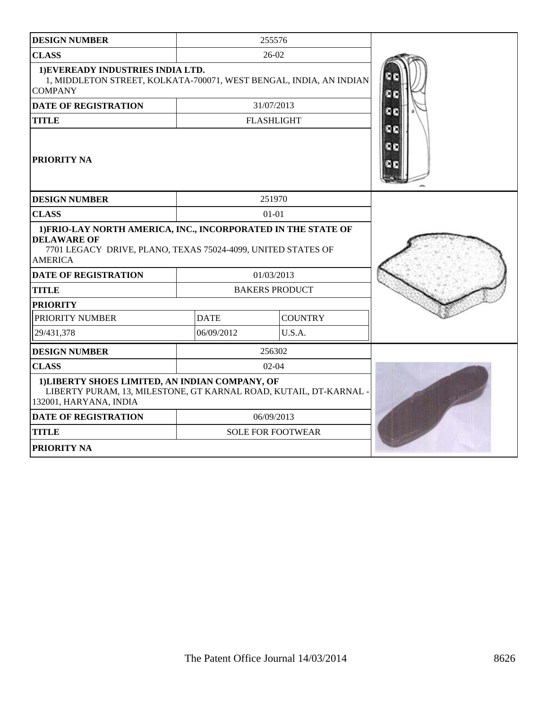| <b>DESIGN NUMBER</b>                                                                                                                                                                                 |             | 255576                   |     |
|------------------------------------------------------------------------------------------------------------------------------------------------------------------------------------------------------|-------------|--------------------------|-----|
| <b>CLASS</b>                                                                                                                                                                                         | $26-02$     |                          |     |
| 1) EVEREADY INDUSTRIES INDIA LTD.<br>1, MIDDLETON STREET, KOLKATA-700071, WEST BENGAL, INDIA, AN INDIAN<br><b>COMPANY</b>                                                                            |             |                          |     |
| <b>DATE OF REGISTRATION</b>                                                                                                                                                                          |             | 31/07/2013               |     |
| <b>TITLE</b>                                                                                                                                                                                         |             | <b>FLASHLIGHT</b>        | DD. |
| <b>PRIORITY NA</b>                                                                                                                                                                                   |             |                          |     |
| <b>DESIGN NUMBER</b>                                                                                                                                                                                 |             | 251970                   |     |
| <b>CLASS</b>                                                                                                                                                                                         |             | $01 - 01$                |     |
| 1) FRIO-LAY NORTH AMERICA, INC., INCORPORATED IN THE STATE OF<br><b>DELAWARE OF</b><br>7701 LEGACY DRIVE, PLANO, TEXAS 75024-4099, UNITED STATES OF<br><b>AMERICA</b><br><b>DATE OF REGISTRATION</b> |             | 01/03/2013               |     |
| <b>TITLE</b>                                                                                                                                                                                         |             | <b>BAKERS PRODUCT</b>    |     |
| <b>PRIORITY</b>                                                                                                                                                                                      |             |                          |     |
| PRIORITY NUMBER                                                                                                                                                                                      | <b>DATE</b> | <b>COUNTRY</b>           |     |
| 29/431,378                                                                                                                                                                                           | 06/09/2012  | U.S.A.                   |     |
| <b>DESIGN NUMBER</b>                                                                                                                                                                                 |             | 256302                   |     |
| <b>CLASS</b>                                                                                                                                                                                         |             | $02-04$                  |     |
| 1) LIBERTY SHOES LIMITED, AN INDIAN COMPANY, OF<br>LIBERTY PURAM, 13, MILESTONE, GT KARNAL ROAD, KUTAIL, DT-KARNAL -<br>132001, HARYANA, INDIA                                                       |             |                          |     |
| <b>DATE OF REGISTRATION</b>                                                                                                                                                                          | 06/09/2013  |                          |     |
| <b>TITLE</b>                                                                                                                                                                                         |             | <b>SOLE FOR FOOTWEAR</b> |     |
| <b>PRIORITY NA</b>                                                                                                                                                                                   |             |                          |     |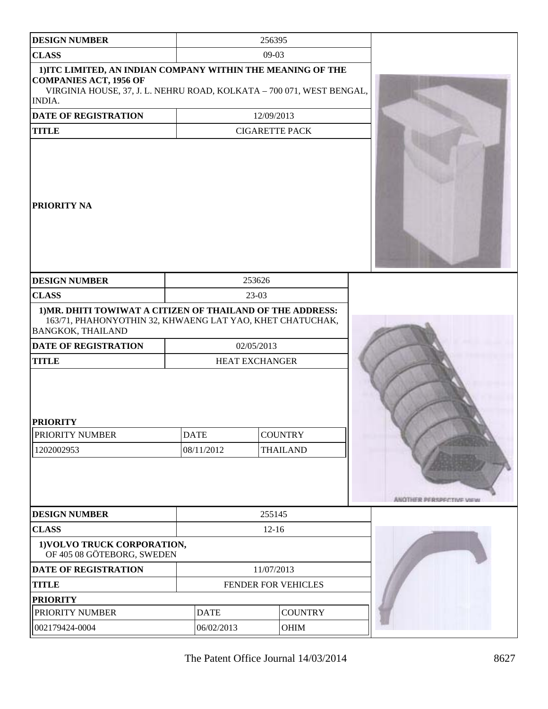| <b>DESIGN NUMBER</b>                                                                                                                                                            |                           | 256395                              |                                   |                          |
|---------------------------------------------------------------------------------------------------------------------------------------------------------------------------------|---------------------------|-------------------------------------|-----------------------------------|--------------------------|
| <b>CLASS</b>                                                                                                                                                                    | $09-03$                   |                                     |                                   |                          |
| 1) ITC LIMITED, AN INDIAN COMPANY WITHIN THE MEANING OF THE<br><b>COMPANIES ACT, 1956 OF</b><br>VIRGINIA HOUSE, 37, J. L. NEHRU ROAD, KOLKATA - 700 071, WEST BENGAL,<br>INDIA. |                           |                                     |                                   |                          |
| <b>DATE OF REGISTRATION</b>                                                                                                                                                     |                           | 12/09/2013                          |                                   |                          |
| <b>TITLE</b>                                                                                                                                                                    |                           | <b>CIGARETTE PACK</b>               |                                   |                          |
| <b>PRIORITY NA</b>                                                                                                                                                              |                           |                                     |                                   |                          |
| <b>DESIGN NUMBER</b>                                                                                                                                                            |                           | 253626                              |                                   |                          |
| <b>CLASS</b>                                                                                                                                                                    |                           | 23-03                               |                                   |                          |
| 1) MR. DHITI TOWIWAT A CITIZEN OF THAILAND OF THE ADDRESS:<br>163/71, PHAHONYOTHIN 32, KHWAENG LAT YAO, KHET CHATUCHAK,<br><b>BANGKOK, THAILAND</b>                             |                           |                                     |                                   |                          |
| DATE OF REGISTRATION<br><b>TITLE</b>                                                                                                                                            |                           | 02/05/2013<br><b>HEAT EXCHANGER</b> |                                   |                          |
| <b>PRIORITY</b><br>PRIORITY NUMBER<br>1202002953                                                                                                                                | <b>DATE</b><br>08/11/2012 |                                     | <b>COUNTRY</b><br><b>THAILAND</b> |                          |
|                                                                                                                                                                                 |                           |                                     |                                   | ANOTHER PERSPECTIVE VIEW |
| <b>DESIGN NUMBER</b>                                                                                                                                                            |                           | 255145                              |                                   |                          |
| <b>CLASS</b>                                                                                                                                                                    | $12 - 16$                 |                                     |                                   |                          |
| 1) VOLVO TRUCK CORPORATION,<br>OF 405 08 GÖTEBORG, SWEDEN                                                                                                                       |                           |                                     |                                   |                          |
| DATE OF REGISTRATION                                                                                                                                                            | 11/07/2013                |                                     |                                   |                          |
| <b>TITLE</b>                                                                                                                                                                    |                           | FENDER FOR VEHICLES                 |                                   |                          |
| <b>PRIORITY</b>                                                                                                                                                                 |                           |                                     |                                   |                          |
| PRIORITY NUMBER                                                                                                                                                                 | <b>DATE</b>               |                                     | <b>COUNTRY</b>                    |                          |
| 002179424-0004                                                                                                                                                                  | 06/02/2013                |                                     | OHIM                              |                          |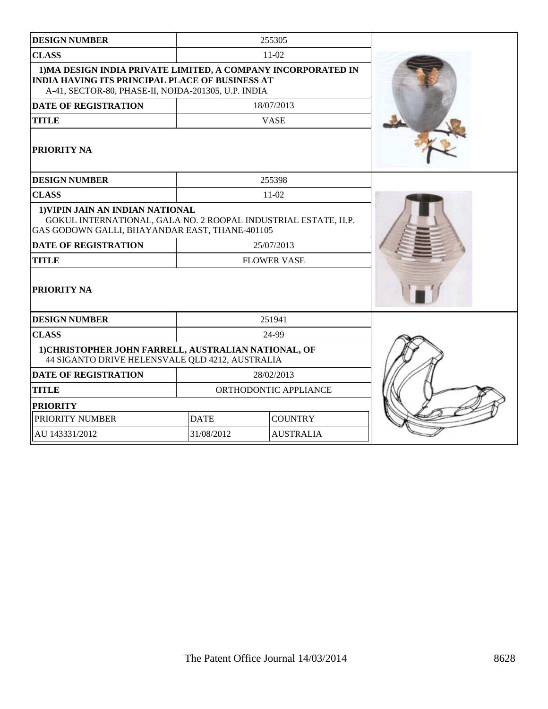| <b>DESIGN NUMBER</b>                                                                                                                                                           |                                | 255305             |  |
|--------------------------------------------------------------------------------------------------------------------------------------------------------------------------------|--------------------------------|--------------------|--|
| <b>CLASS</b>                                                                                                                                                                   | $11-02$                        |                    |  |
| 1) MA DESIGN INDIA PRIVATE LIMITED, A COMPANY INCORPORATED IN<br><b>INDIA HAVING ITS PRINCIPAL PLACE OF BUSINESS AT</b><br>A-41, SECTOR-80, PHASE-II, NOIDA-201305, U.P. INDIA |                                |                    |  |
| <b>DATE OF REGISTRATION</b>                                                                                                                                                    |                                | 18/07/2013         |  |
| <b>TITLE</b>                                                                                                                                                                   |                                | <b>VASE</b>        |  |
| PRIORITY NA                                                                                                                                                                    |                                |                    |  |
| <b>DESIGN NUMBER</b>                                                                                                                                                           |                                | 255398             |  |
| <b>CLASS</b>                                                                                                                                                                   |                                | $11-02$            |  |
| 1) VIPIN JAIN AN INDIAN NATIONAL<br>GOKUL INTERNATIONAL, GALA NO. 2 ROOPAL INDUSTRIAL ESTATE, H.P.<br>GAS GODOWN GALLI, BHAYANDAR EAST, THANE-401105                           |                                |                    |  |
| <b>DATE OF REGISTRATION</b>                                                                                                                                                    | 25/07/2013                     |                    |  |
| <b>TITLE</b>                                                                                                                                                                   |                                | <b>FLOWER VASE</b> |  |
| PRIORITY NA                                                                                                                                                                    |                                |                    |  |
| <b>DESIGN NUMBER</b>                                                                                                                                                           |                                | 251941             |  |
| <b>CLASS</b>                                                                                                                                                                   | 24-99                          |                    |  |
| 1) CHRISTOPHER JOHN FARRELL, AUSTRALIAN NATIONAL, OF<br>44 SIGANTO DRIVE HELENSVALE QLD 4212, AUSTRALIA                                                                        |                                |                    |  |
| <b>DATE OF REGISTRATION</b>                                                                                                                                                    | 28/02/2013                     |                    |  |
| <b>TITLE</b>                                                                                                                                                                   | ORTHODONTIC APPLIANCE          |                    |  |
| <b>PRIORITY</b>                                                                                                                                                                |                                |                    |  |
| PRIORITY NUMBER                                                                                                                                                                | <b>DATE</b><br><b>COUNTRY</b>  |                    |  |
| AU 143331/2012                                                                                                                                                                 | 31/08/2012<br><b>AUSTRALIA</b> |                    |  |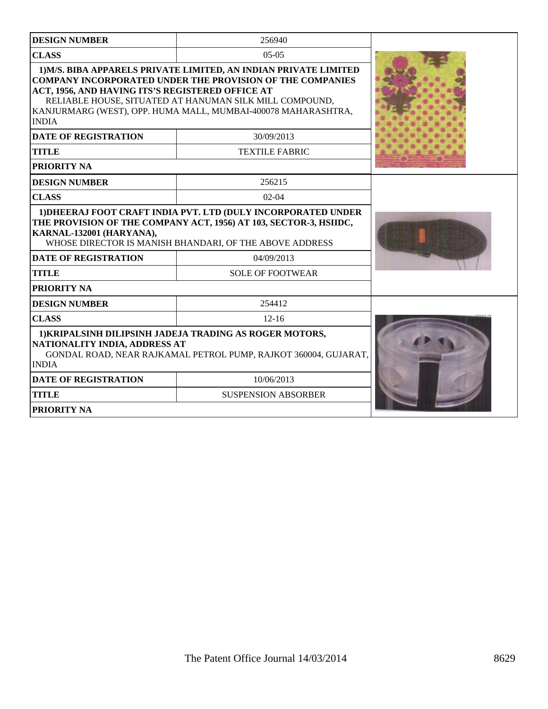| <b>DESIGN NUMBER</b>                                                                                                                                                                                                                                                                                                                                                                                      | 256940                     |  |
|-----------------------------------------------------------------------------------------------------------------------------------------------------------------------------------------------------------------------------------------------------------------------------------------------------------------------------------------------------------------------------------------------------------|----------------------------|--|
| <b>CLASS</b>                                                                                                                                                                                                                                                                                                                                                                                              | $05-05$                    |  |
| 1) M/S. BIBA APPARELS PRIVATE LIMITED, AN INDIAN PRIVATE LIMITED<br><b>COMPANY INCORPORATED UNDER THE PROVISION OF THE COMPANIES</b><br>ACT, 1956, AND HAVING ITS'S REGISTERED OFFICE AT<br>RELIABLE HOUSE, SITUATED AT HANUMAN SILK MILL COMPOUND,<br>KANJURMARG (WEST), OPP. HUMA MALL, MUMBAI-400078 MAHARASHTRA,<br><b>INDIA</b><br><b>DATE OF REGISTRATION</b><br><b>TITLE</b><br><b>PRIORITY NA</b> |                            |  |
| <b>DESIGN NUMBER</b>                                                                                                                                                                                                                                                                                                                                                                                      | 256215                     |  |
| <b>CLASS</b>                                                                                                                                                                                                                                                                                                                                                                                              | $02 - 04$                  |  |
| 1) DHEERAJ FOOT CRAFT INDIA PVT, LTD (DULY INCORPORATED UNDER<br>THE PROVISION OF THE COMPANY ACT, 1956) AT 103, SECTOR-3, HSIIDC,<br>KARNAL-132001 (HARYANA),<br>WHOSE DIRECTOR IS MANISH BHANDARI, OF THE ABOVE ADDRESS                                                                                                                                                                                 |                            |  |
| <b>DATE OF REGISTRATION</b>                                                                                                                                                                                                                                                                                                                                                                               | 04/09/2013                 |  |
| <b>TITLE</b>                                                                                                                                                                                                                                                                                                                                                                                              | <b>SOLE OF FOOTWEAR</b>    |  |
| <b>PRIORITY NA</b>                                                                                                                                                                                                                                                                                                                                                                                        |                            |  |
| <b>DESIGN NUMBER</b>                                                                                                                                                                                                                                                                                                                                                                                      | 254412                     |  |
| <b>CLASS</b>                                                                                                                                                                                                                                                                                                                                                                                              | $12 - 16$                  |  |
| 1) KRIPALSINH DILIPSINH JADEJA TRADING AS ROGER MOTORS,<br>NATIONALITY INDIA, ADDRESS AT<br>GONDAL ROAD, NEAR RAJKAMAL PETROL PUMP, RAJKOT 360004, GUJARAT,<br><b>INDIA</b>                                                                                                                                                                                                                               |                            |  |
| <b>DATE OF REGISTRATION</b>                                                                                                                                                                                                                                                                                                                                                                               | 10/06/2013                 |  |
| <b>TITLE</b>                                                                                                                                                                                                                                                                                                                                                                                              | <b>SUSPENSION ABSORBER</b> |  |
| <b>PRIORITY NA</b>                                                                                                                                                                                                                                                                                                                                                                                        |                            |  |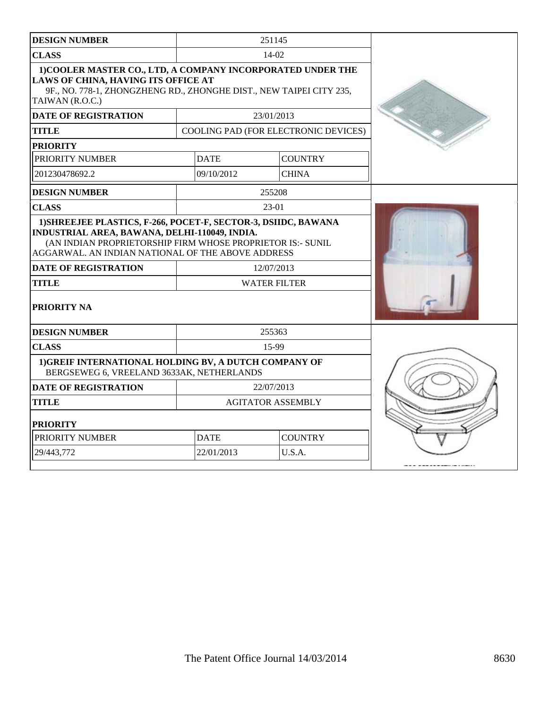| <b>DESIGN NUMBER</b>                                                                                                                                                                                                                                                                                    |                          | 251145                               |  |
|---------------------------------------------------------------------------------------------------------------------------------------------------------------------------------------------------------------------------------------------------------------------------------------------------------|--------------------------|--------------------------------------|--|
| <b>CLASS</b>                                                                                                                                                                                                                                                                                            |                          | $14-02$                              |  |
| 1) COOLER MASTER CO., LTD, A COMPANY INCORPORATED UNDER THE<br><b>LAWS OF CHINA, HAVING ITS OFFICE AT</b><br>9F., NO. 778-1, ZHONGZHENG RD., ZHONGHE DIST., NEW TAIPEI CITY 235,<br>TAIWAN (R.O.C.)                                                                                                     |                          |                                      |  |
| <b>DATE OF REGISTRATION</b>                                                                                                                                                                                                                                                                             |                          | 23/01/2013                           |  |
| <b>TITLE</b>                                                                                                                                                                                                                                                                                            |                          | COOLING PAD (FOR ELECTRONIC DEVICES) |  |
| <b>PRIORITY</b>                                                                                                                                                                                                                                                                                         |                          |                                      |  |
| PRIORITY NUMBER                                                                                                                                                                                                                                                                                         | <b>DATE</b>              | <b>COUNTRY</b>                       |  |
| 201230478692.2                                                                                                                                                                                                                                                                                          | 09/10/2012               | <b>CHINA</b>                         |  |
| <b>DESIGN NUMBER</b>                                                                                                                                                                                                                                                                                    |                          | 255208                               |  |
| <b>CLASS</b>                                                                                                                                                                                                                                                                                            |                          | 23-01                                |  |
| 1) SHREEJEE PLASTICS, F-266, POCET-F, SECTOR-3, DSIIDC, BAWANA<br>INDUSTRIAL AREA, BAWANA, DELHI-110049, INDIA.<br>(AN INDIAN PROPRIETORSHIP FIRM WHOSE PROPRIETOR IS:- SUNIL<br>AGGARWAL. AN INDIAN NATIONAL OF THE ABOVE ADDRESS<br><b>DATE OF REGISTRATION</b><br><b>TITLE</b><br><b>PRIORITY NA</b> |                          | 12/07/2013<br><b>WATER FILTER</b>    |  |
| <b>DESIGN NUMBER</b>                                                                                                                                                                                                                                                                                    |                          | 255363                               |  |
| <b>CLASS</b>                                                                                                                                                                                                                                                                                            |                          | 15-99                                |  |
| 1) GREIF INTERNATIONAL HOLDING BV, A DUTCH COMPANY OF<br>BERGSEWEG 6, VREELAND 3633AK, NETHERLANDS                                                                                                                                                                                                      |                          |                                      |  |
| <b>DATE OF REGISTRATION</b>                                                                                                                                                                                                                                                                             |                          | 22/07/2013                           |  |
| <b>TITLE</b>                                                                                                                                                                                                                                                                                            | <b>AGITATOR ASSEMBLY</b> |                                      |  |
| <b>PRIORITY</b>                                                                                                                                                                                                                                                                                         |                          |                                      |  |
| PRIORITY NUMBER                                                                                                                                                                                                                                                                                         | <b>DATE</b>              | <b>COUNTRY</b>                       |  |
| 29/443,772                                                                                                                                                                                                                                                                                              | 22/01/2013               | U.S.A.                               |  |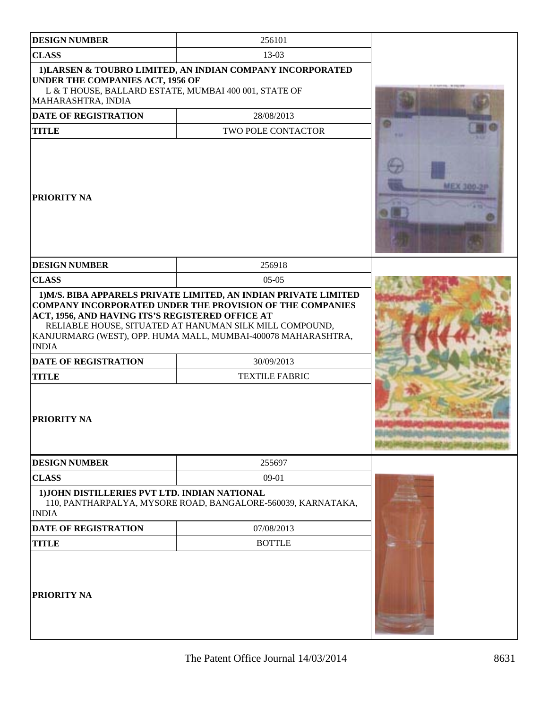| <b>DESIGN NUMBER</b>                                                                                                                                                                                                                                                                                            | 256101                                                       |  |
|-----------------------------------------------------------------------------------------------------------------------------------------------------------------------------------------------------------------------------------------------------------------------------------------------------------------|--------------------------------------------------------------|--|
| <b>CLASS</b>                                                                                                                                                                                                                                                                                                    | 13-03                                                        |  |
| <b>UNDER THE COMPANIES ACT, 1956 OF</b><br>L & T HOUSE, BALLARD ESTATE, MUMBAI 400 001, STATE OF<br>MAHARASHTRA, INDIA                                                                                                                                                                                          | 1) LARSEN & TOUBRO LIMITED, AN INDIAN COMPANY INCORPORATED   |  |
| <b>DATE OF REGISTRATION</b>                                                                                                                                                                                                                                                                                     | 28/08/2013                                                   |  |
| <b>TITLE</b>                                                                                                                                                                                                                                                                                                    | TWO POLE CONTACTOR                                           |  |
| PRIORITY NA                                                                                                                                                                                                                                                                                                     |                                                              |  |
| <b>DESIGN NUMBER</b>                                                                                                                                                                                                                                                                                            | 256918                                                       |  |
| <b>CLASS</b>                                                                                                                                                                                                                                                                                                    | $05-05$                                                      |  |
| <b>COMPANY INCORPORATED UNDER THE PROVISION OF THE COMPANIES</b><br>ACT, 1956, AND HAVING ITS'S REGISTERED OFFICE AT<br>RELIABLE HOUSE, SITUATED AT HANUMAN SILK MILL COMPOUND,<br>KANJURMARG (WEST), OPP. HUMA MALL, MUMBAI-400078 MAHARASHTRA,<br><b>INDIA</b><br><b>DATE OF REGISTRATION</b><br><b>TITLE</b> |                                                              |  |
| <b>PRIORITY NA</b>                                                                                                                                                                                                                                                                                              |                                                              |  |
| <b>DESIGN NUMBER</b>                                                                                                                                                                                                                                                                                            | 255697                                                       |  |
| <b>CLASS</b>                                                                                                                                                                                                                                                                                                    | $09-01$                                                      |  |
| 1) JOHN DISTILLERIES PVT LTD. INDIAN NATIONAL<br><b>INDIA</b>                                                                                                                                                                                                                                                   | 110, PANTHARPALYA, MYSORE ROAD, BANGALORE-560039, KARNATAKA, |  |
| <b>DATE OF REGISTRATION</b>                                                                                                                                                                                                                                                                                     | 07/08/2013                                                   |  |
| <b>TITLE</b><br>PRIORITY NA                                                                                                                                                                                                                                                                                     | <b>BOTTLE</b>                                                |  |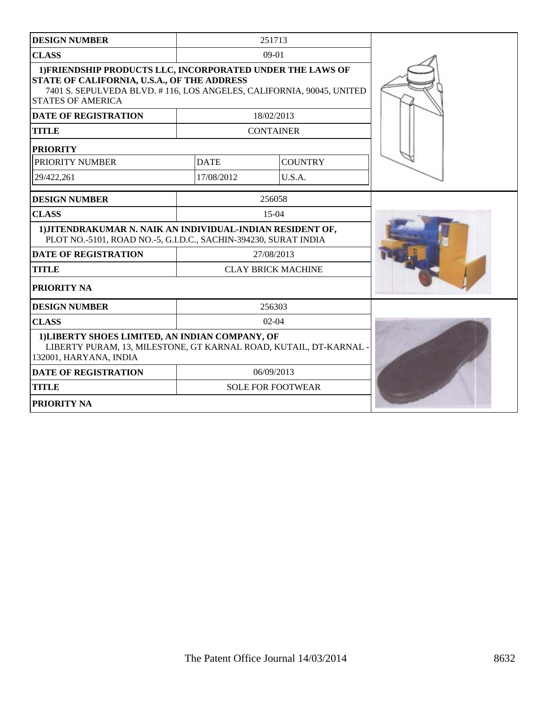| <b>DESIGN NUMBER</b>                                                                                                                                                                                          |                           | 251713                   |  |
|---------------------------------------------------------------------------------------------------------------------------------------------------------------------------------------------------------------|---------------------------|--------------------------|--|
| <b>CLASS</b>                                                                                                                                                                                                  |                           | $09-01$                  |  |
| 1) FRIENDSHIP PRODUCTS LLC, INCORPORATED UNDER THE LAWS OF<br>STATE OF CALIFORNIA, U.S.A., OF THE ADDRESS<br>7401 S. SEPULVEDA BLVD. #116, LOS ANGELES, CALIFORNIA, 90045, UNITED<br><b>STATES OF AMERICA</b> |                           |                          |  |
| <b>DATE OF REGISTRATION</b>                                                                                                                                                                                   |                           | 18/02/2013               |  |
| <b>TITLE</b>                                                                                                                                                                                                  |                           | <b>CONTAINER</b>         |  |
| <b>PRIORITY</b>                                                                                                                                                                                               |                           |                          |  |
| PRIORITY NUMBER                                                                                                                                                                                               | <b>DATE</b>               | <b>COUNTRY</b>           |  |
| 29/422,261                                                                                                                                                                                                    | 17/08/2012                | U.S.A.                   |  |
| <b>DESIGN NUMBER</b>                                                                                                                                                                                          |                           | 256058                   |  |
| <b>CLASS</b>                                                                                                                                                                                                  |                           | $15-04$                  |  |
| 1) JITENDRAKUMAR N. NAIK AN INDIVIDUAL-INDIAN RESIDENT OF,<br>PLOT NO.-5101, ROAD NO.-5, G.I.D.C., SACHIN-394230, SURAT INDIA                                                                                 |                           |                          |  |
| <b>DATE OF REGISTRATION</b>                                                                                                                                                                                   | 27/08/2013                |                          |  |
| <b>TITLE</b>                                                                                                                                                                                                  | <b>CLAY BRICK MACHINE</b> |                          |  |
| PRIORITY NA                                                                                                                                                                                                   |                           |                          |  |
| <b>DESIGN NUMBER</b>                                                                                                                                                                                          | 256303                    |                          |  |
| <b>CLASS</b>                                                                                                                                                                                                  |                           | $02-04$                  |  |
| 1) LIBERTY SHOES LIMITED, AN INDIAN COMPANY, OF<br>LIBERTY PURAM, 13, MILESTONE, GT KARNAL ROAD, KUTAIL, DT-KARNAL -<br>132001, HARYANA, INDIA                                                                |                           |                          |  |
| <b>DATE OF REGISTRATION</b>                                                                                                                                                                                   |                           | 06/09/2013               |  |
| <b>TITLE</b>                                                                                                                                                                                                  |                           | <b>SOLE FOR FOOTWEAR</b> |  |
| PRIORITY NA                                                                                                                                                                                                   |                           |                          |  |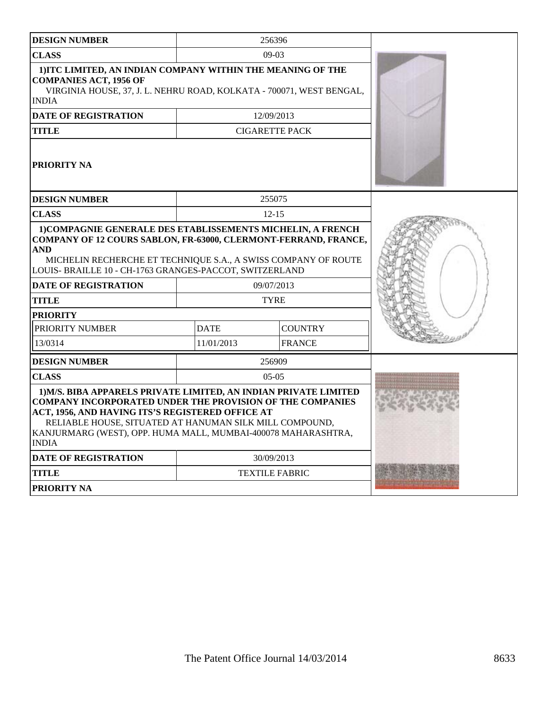| <b>DESIGN NUMBER</b>                                                                                                                                                                                                                                                                                                                 |             | 256396                |  |
|--------------------------------------------------------------------------------------------------------------------------------------------------------------------------------------------------------------------------------------------------------------------------------------------------------------------------------------|-------------|-----------------------|--|
| <b>CLASS</b>                                                                                                                                                                                                                                                                                                                         | $09-03$     |                       |  |
| 1) ITC LIMITED, AN INDIAN COMPANY WITHIN THE MEANING OF THE<br><b>COMPANIES ACT, 1956 OF</b><br>VIRGINIA HOUSE, 37, J. L. NEHRU ROAD, KOLKATA - 700071, WEST BENGAL,<br><b>INDIA</b>                                                                                                                                                 |             |                       |  |
| <b>DATE OF REGISTRATION</b>                                                                                                                                                                                                                                                                                                          |             | 12/09/2013            |  |
| <b>TITLE</b>                                                                                                                                                                                                                                                                                                                         |             | <b>CIGARETTE PACK</b> |  |
| PRIORITY NA                                                                                                                                                                                                                                                                                                                          |             |                       |  |
| <b>DESIGN NUMBER</b>                                                                                                                                                                                                                                                                                                                 |             | 255075                |  |
| <b>CLASS</b>                                                                                                                                                                                                                                                                                                                         |             | $12 - 15$             |  |
| 1) COMPAGNIE GENERALE DES ETABLISSEMENTS MICHELIN, A FRENCH<br>COMPANY OF 12 COURS SABLON, FR-63000, CLERMONT-FERRAND, FRANCE,<br><b>AND</b><br>MICHELIN RECHERCHE ET TECHNIQUE S.A., A SWISS COMPANY OF ROUTE<br>LOUIS- BRAILLE 10 - CH-1763 GRANGES-PACCOT, SWITZERLAND                                                            |             |                       |  |
| <b>DATE OF REGISTRATION</b>                                                                                                                                                                                                                                                                                                          |             | 09/07/2013            |  |
| <b>TITLE</b>                                                                                                                                                                                                                                                                                                                         |             | <b>TYRE</b>           |  |
| <b>PRIORITY</b>                                                                                                                                                                                                                                                                                                                      |             |                       |  |
| PRIORITY NUMBER                                                                                                                                                                                                                                                                                                                      | <b>DATE</b> | <b>COUNTRY</b>        |  |
| 13/0314                                                                                                                                                                                                                                                                                                                              | 11/01/2013  | <b>FRANCE</b>         |  |
| <b>DESIGN NUMBER</b>                                                                                                                                                                                                                                                                                                                 |             | 256909                |  |
| <b>CLASS</b>                                                                                                                                                                                                                                                                                                                         |             | $05-05$               |  |
| 1) M/S. BIBA APPARELS PRIVATE LIMITED, AN INDIAN PRIVATE LIMITED<br><b>COMPANY INCORPORATED UNDER THE PROVISION OF THE COMPANIES</b><br>ACT, 1956, AND HAVING ITS'S REGISTERED OFFICE AT<br>RELIABLE HOUSE, SITUATED AT HANUMAN SILK MILL COMPOUND,<br>KANJURMARG (WEST), OPP. HUMA MALL, MUMBAI-400078 MAHARASHTRA,<br><b>INDIA</b> |             |                       |  |
| DATE OF REGISTRATION                                                                                                                                                                                                                                                                                                                 |             | 30/09/2013            |  |
| <b>TITLE</b>                                                                                                                                                                                                                                                                                                                         |             | <b>TEXTILE FABRIC</b> |  |
| PRIORITY NA                                                                                                                                                                                                                                                                                                                          |             |                       |  |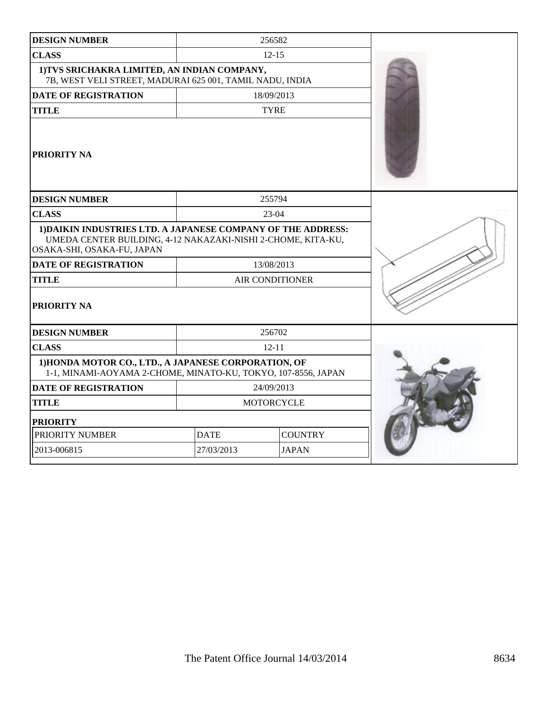| <b>DESIGN NUMBER</b>                                                                                                                                       |                   | 256582                 |  |
|------------------------------------------------------------------------------------------------------------------------------------------------------------|-------------------|------------------------|--|
| <b>CLASS</b>                                                                                                                                               | $12 - 15$         |                        |  |
| 1) TVS SRICHAKRA LIMITED, AN INDIAN COMPANY,<br>7B, WEST VELI STREET, MADURAI 625 001, TAMIL NADU, INDIA                                                   |                   |                        |  |
| DATE OF REGISTRATION                                                                                                                                       |                   | 18/09/2013             |  |
| <b>TITLE</b>                                                                                                                                               |                   | <b>TYRE</b>            |  |
| PRIORITY NA                                                                                                                                                |                   |                        |  |
| <b>DESIGN NUMBER</b>                                                                                                                                       |                   | 255794                 |  |
| <b>CLASS</b>                                                                                                                                               |                   | $23-04$                |  |
| 1) DAIKIN INDUSTRIES LTD. A JAPANESE COMPANY OF THE ADDRESS:<br>UMEDA CENTER BUILDING, 4-12 NAKAZAKI-NISHI 2-CHOME, KITA-KU,<br>OSAKA-SHI, OSAKA-FU, JAPAN |                   |                        |  |
| <b>DATE OF REGISTRATION</b>                                                                                                                                | 13/08/2013        |                        |  |
| <b>TITLE</b>                                                                                                                                               |                   | <b>AIR CONDITIONER</b> |  |
| <b>PRIORITY NA</b>                                                                                                                                         |                   |                        |  |
| <b>DESIGN NUMBER</b>                                                                                                                                       |                   | 256702                 |  |
| <b>CLASS</b>                                                                                                                                               | $12 - 11$         |                        |  |
| 1) HONDA MOTOR CO., LTD., A JAPANESE CORPORATION, OF<br>1-1, MINAMI-AOYAMA 2-CHOME, MINATO-KU, TOKYO, 107-8556, JAPAN                                      |                   |                        |  |
| <b>DATE OF REGISTRATION</b>                                                                                                                                | 24/09/2013        |                        |  |
| <b>TITLE</b>                                                                                                                                               | <b>MOTORCYCLE</b> |                        |  |
| <b>PRIORITY</b>                                                                                                                                            |                   |                        |  |
| PRIORITY NUMBER                                                                                                                                            | <b>DATE</b>       | <b>COUNTRY</b>         |  |
| 2013-006815                                                                                                                                                | 27/03/2013        | <b>JAPAN</b>           |  |
|                                                                                                                                                            |                   |                        |  |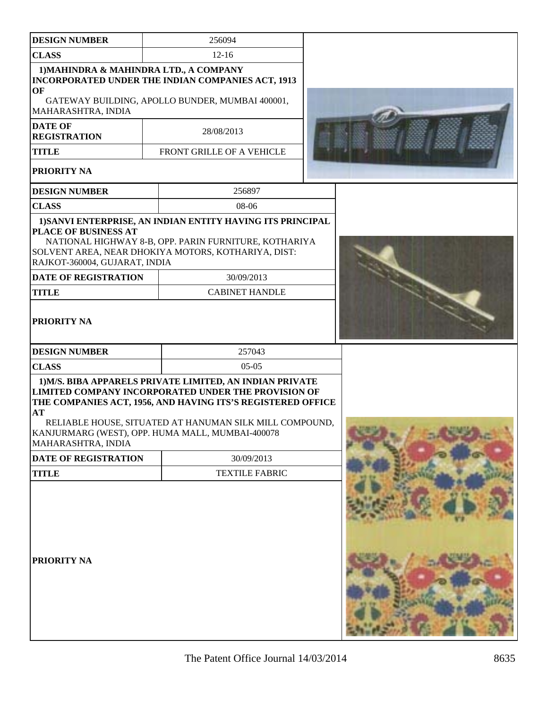| <b>DESIGN NUMBER</b>                                               | 256094                                                                                                                                                                                                                                                                                        |  |
|--------------------------------------------------------------------|-----------------------------------------------------------------------------------------------------------------------------------------------------------------------------------------------------------------------------------------------------------------------------------------------|--|
| <b>CLASS</b>                                                       | $12 - 16$                                                                                                                                                                                                                                                                                     |  |
| 1) MAHINDRA & MAHINDRA LTD., A COMPANY<br>OF<br>MAHARASHTRA, INDIA | INCORPORATED UNDER THE INDIAN COMPANIES ACT, 1913<br>GATEWAY BUILDING, APOLLO BUNDER, MUMBAI 400001,                                                                                                                                                                                          |  |
| <b>DATE OF</b><br><b>REGISTRATION</b>                              | 28/08/2013                                                                                                                                                                                                                                                                                    |  |
| <b>TITLE</b>                                                       | FRONT GRILLE OF A VEHICLE                                                                                                                                                                                                                                                                     |  |
| PRIORITY NA                                                        |                                                                                                                                                                                                                                                                                               |  |
| <b>DESIGN NUMBER</b>                                               | 256897                                                                                                                                                                                                                                                                                        |  |
| <b>CLASS</b>                                                       | 08-06                                                                                                                                                                                                                                                                                         |  |
| PLACE OF BUSINESS AT<br>RAJKOT-360004, GUJARAT, INDIA              | 1) SANVI ENTERPRISE, AN INDIAN ENTITY HAVING ITS PRINCIPAL<br>NATIONAL HIGHWAY 8-B, OPP. PARIN FURNITURE, KOTHARIYA<br>SOLVENT AREA, NEAR DHOKIYA MOTORS, KOTHARIYA, DIST:                                                                                                                    |  |
| <b>DATE OF REGISTRATION</b>                                        | 30/09/2013                                                                                                                                                                                                                                                                                    |  |
| <b>TITLE</b>                                                       | <b>CABINET HANDLE</b>                                                                                                                                                                                                                                                                         |  |
| <b>PRIORITY NA</b>                                                 |                                                                                                                                                                                                                                                                                               |  |
| <b>DESIGN NUMBER</b>                                               | 257043                                                                                                                                                                                                                                                                                        |  |
| <b>CLASS</b>                                                       | $05-05$                                                                                                                                                                                                                                                                                       |  |
| AT<br>MAHARASHTRA, INDIA                                           | 1) M/S. BIBA APPARELS PRIVATE LIMITED, AN INDIAN PRIVATE<br>LIMITED COMPANY INCORPORATED UNDER THE PROVISION OF<br>THE COMPANIES ACT, 1956, AND HAVING ITS'S REGISTERED OFFICE<br>RELIABLE HOUSE, SITUATED AT HANUMAN SILK MILL COMPOUND,<br>KANJURMARG (WEST), OPP. HUMA MALL, MUMBAI-400078 |  |
| <b>DATE OF REGISTRATION</b>                                        | 30/09/2013                                                                                                                                                                                                                                                                                    |  |
| <b>TITLE</b>                                                       | <b>TEXTILE FABRIC</b>                                                                                                                                                                                                                                                                         |  |
| PRIORITY NA                                                        |                                                                                                                                                                                                                                                                                               |  |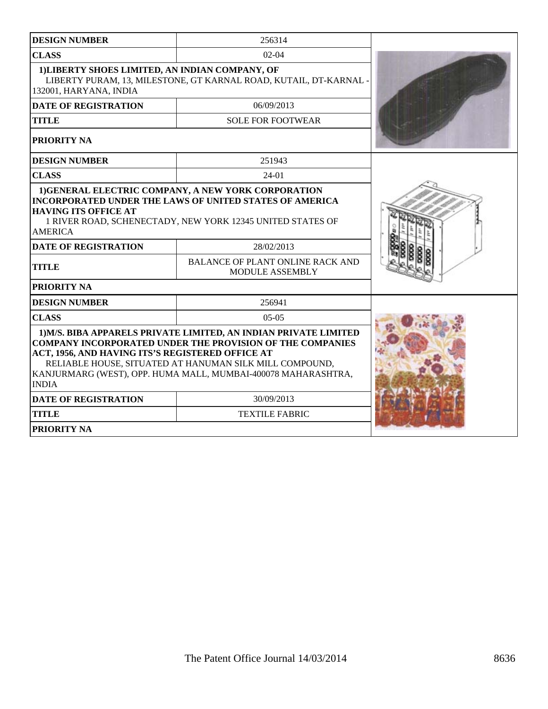| <b>DESIGN NUMBER</b>                                                                                                                                                                                                                                                                                                                 | 256314                                                            |  |
|--------------------------------------------------------------------------------------------------------------------------------------------------------------------------------------------------------------------------------------------------------------------------------------------------------------------------------------|-------------------------------------------------------------------|--|
| <b>CLASS</b>                                                                                                                                                                                                                                                                                                                         | $02-04$                                                           |  |
| 1) LIBERTY SHOES LIMITED, AN INDIAN COMPANY, OF<br>132001, HARYANA, INDIA                                                                                                                                                                                                                                                            | LIBERTY PURAM, 13, MILESTONE, GT KARNAL ROAD, KUTAIL, DT-KARNAL   |  |
| <b>DATE OF REGISTRATION</b>                                                                                                                                                                                                                                                                                                          | 06/09/2013                                                        |  |
| <b>TITLE</b>                                                                                                                                                                                                                                                                                                                         | <b>SOLE FOR FOOTWEAR</b>                                          |  |
| <b>PRIORITY NA</b>                                                                                                                                                                                                                                                                                                                   |                                                                   |  |
| <b>DESIGN NUMBER</b>                                                                                                                                                                                                                                                                                                                 | 251943                                                            |  |
| <b>CLASS</b>                                                                                                                                                                                                                                                                                                                         | 24-01                                                             |  |
| 1) GENERAL ELECTRIC COMPANY, A NEW YORK CORPORATION<br><b>INCORPORATED UNDER THE LAWS OF UNITED STATES OF AMERICA</b><br><b>HAVING ITS OFFICE AT</b><br>1 RIVER ROAD, SCHENECTADY, NEW YORK 12345 UNITED STATES OF<br><b>AMERICA</b>                                                                                                 |                                                                   |  |
| <b>DATE OF REGISTRATION</b>                                                                                                                                                                                                                                                                                                          | 28/02/2013                                                        |  |
| <b>TITLE</b>                                                                                                                                                                                                                                                                                                                         | <b>BALANCE OF PLANT ONLINE RACK AND</b><br><b>MODULE ASSEMBLY</b> |  |
| <b>PRIORITY NA</b>                                                                                                                                                                                                                                                                                                                   |                                                                   |  |
| <b>DESIGN NUMBER</b>                                                                                                                                                                                                                                                                                                                 | 256941                                                            |  |
| <b>CLASS</b>                                                                                                                                                                                                                                                                                                                         | $0.5 - 0.5$                                                       |  |
| 1) M/S. BIBA APPARELS PRIVATE LIMITED, AN INDIAN PRIVATE LIMITED<br><b>COMPANY INCORPORATED UNDER THE PROVISION OF THE COMPANIES</b><br>ACT, 1956, AND HAVING ITS'S REGISTERED OFFICE AT<br>RELIABLE HOUSE, SITUATED AT HANUMAN SILK MILL COMPOUND,<br>KANJURMARG (WEST), OPP. HUMA MALL, MUMBAI-400078 MAHARASHTRA,<br><b>INDIA</b> |                                                                   |  |
| <b>DATE OF REGISTRATION</b>                                                                                                                                                                                                                                                                                                          | 30/09/2013                                                        |  |
| <b>TITLE</b>                                                                                                                                                                                                                                                                                                                         | <b>TEXTILE FABRIC</b>                                             |  |
| <b>PRIORITY NA</b>                                                                                                                                                                                                                                                                                                                   |                                                                   |  |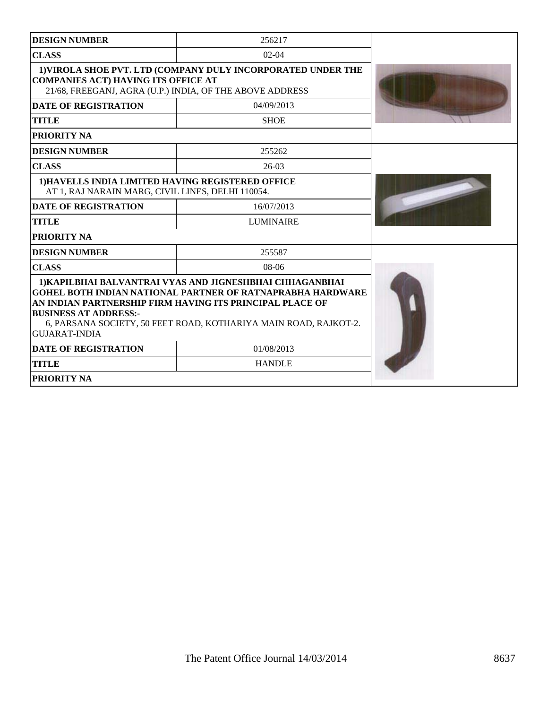| <b>DESIGN NUMBER</b>                                                                                                                                                   | 256217                                                                                                                                                                                                                                                        |  |
|------------------------------------------------------------------------------------------------------------------------------------------------------------------------|---------------------------------------------------------------------------------------------------------------------------------------------------------------------------------------------------------------------------------------------------------------|--|
| <b>CLASS</b>                                                                                                                                                           | $02-04$                                                                                                                                                                                                                                                       |  |
| 1) VIROLA SHOE PVT. LTD (COMPANY DULY INCORPORATED UNDER THE<br><b>COMPANIES ACT) HAVING ITS OFFICE AT</b><br>21/68, FREEGANJ, AGRA (U.P.) INDIA, OF THE ABOVE ADDRESS |                                                                                                                                                                                                                                                               |  |
| <b>DATE OF REGISTRATION</b>                                                                                                                                            | 04/09/2013                                                                                                                                                                                                                                                    |  |
| <b>TITLE</b>                                                                                                                                                           | <b>SHOE</b>                                                                                                                                                                                                                                                   |  |
| PRIORITY NA                                                                                                                                                            |                                                                                                                                                                                                                                                               |  |
| <b>DESIGN NUMBER</b>                                                                                                                                                   | 255262                                                                                                                                                                                                                                                        |  |
| <b>CLASS</b>                                                                                                                                                           | $26-03$                                                                                                                                                                                                                                                       |  |
| 1) HAVELLS INDIA LIMITED HAVING REGISTERED OFFICE<br>AT 1, RAJ NARAIN MARG, CIVIL LINES, DELHI 110054.                                                                 |                                                                                                                                                                                                                                                               |  |
| <b>DATE OF REGISTRATION</b>                                                                                                                                            | 16/07/2013                                                                                                                                                                                                                                                    |  |
| <b>TITLE</b>                                                                                                                                                           | <b>LUMINAIRE</b>                                                                                                                                                                                                                                              |  |
| PRIORITY NA                                                                                                                                                            |                                                                                                                                                                                                                                                               |  |
| <b>DESIGN NUMBER</b>                                                                                                                                                   | 255587                                                                                                                                                                                                                                                        |  |
| <b>CLASS</b>                                                                                                                                                           | $08-06$                                                                                                                                                                                                                                                       |  |
| <b>BUSINESS AT ADDRESS:-</b><br><b>GUJARAT-INDIA</b>                                                                                                                   | 1) KAPILBHAI BALVANTRAI VYAS AND JIGNESHBHAI CHHAGANBHAI<br><b>GOHEL BOTH INDIAN NATIONAL PARTNER OF RATNAPRABHA HARDWARE</b><br>AN INDIAN PARTNERSHIP FIRM HAVING ITS PRINCIPAL PLACE OF<br>6, PARSANA SOCIETY, 50 FEET ROAD, KOTHARIYA MAIN ROAD, RAJKOT-2. |  |
| <b>DATE OF REGISTRATION</b>                                                                                                                                            | 01/08/2013                                                                                                                                                                                                                                                    |  |
| <b>TITLE</b>                                                                                                                                                           | <b>HANDLE</b>                                                                                                                                                                                                                                                 |  |
| PRIORITY NA                                                                                                                                                            |                                                                                                                                                                                                                                                               |  |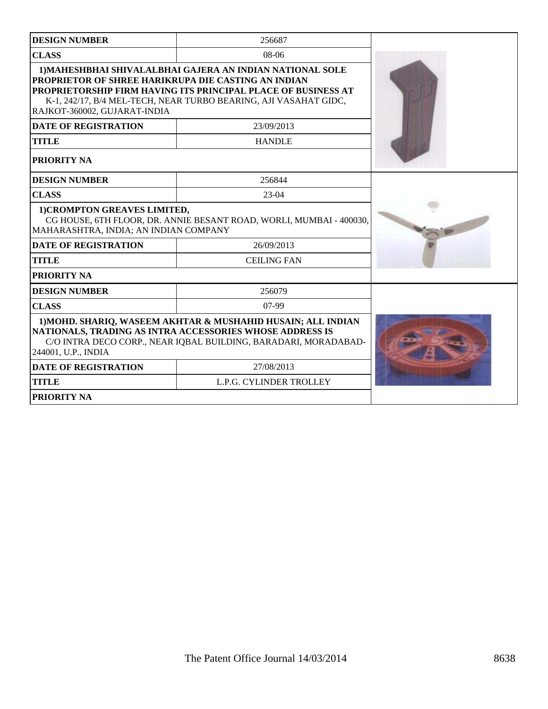| <b>DESIGN NUMBER</b>                                                                                                                                                                                               | 256687                                                                                                                                                                                                |  |
|--------------------------------------------------------------------------------------------------------------------------------------------------------------------------------------------------------------------|-------------------------------------------------------------------------------------------------------------------------------------------------------------------------------------------------------|--|
| <b>CLASS</b><br>$08-06$                                                                                                                                                                                            |                                                                                                                                                                                                       |  |
| PROPRIETOR OF SHREE HARIKRUPA DIE CASTING AN INDIAN<br>RAJKOT-360002, GUJARAT-INDIA                                                                                                                                | 1) MAHESHBHAI SHIVALALBHAI GAJERA AN INDIAN NATIONAL SOLE<br><b>PROPRIETORSHIP FIRM HAVING ITS PRINCIPAL PLACE OF BUSINESS AT</b><br>K-1, 242/17, B/4 MEL-TECH, NEAR TURBO BEARING, AJI VASAHAT GIDC, |  |
| <b>DATE OF REGISTRATION</b>                                                                                                                                                                                        | 23/09/2013                                                                                                                                                                                            |  |
| <b>TITLE</b>                                                                                                                                                                                                       | <b>HANDLE</b>                                                                                                                                                                                         |  |
| PRIORITY NA                                                                                                                                                                                                        |                                                                                                                                                                                                       |  |
| <b>DESIGN NUMBER</b>                                                                                                                                                                                               | 256844                                                                                                                                                                                                |  |
| <b>CLASS</b>                                                                                                                                                                                                       | $23-04$                                                                                                                                                                                               |  |
| 1) CROMPTON GREAVES LIMITED,<br>CG HOUSE, 6TH FLOOR, DR. ANNIE BESANT ROAD, WORLI, MUMBAI - 400030,<br>MAHARASHTRA, INDIA; AN INDIAN COMPANY                                                                       |                                                                                                                                                                                                       |  |
| <b>DATE OF REGISTRATION</b>                                                                                                                                                                                        | 26/09/2013                                                                                                                                                                                            |  |
| <b>TITLE</b>                                                                                                                                                                                                       | <b>CEILING FAN</b>                                                                                                                                                                                    |  |
| PRIORITY NA                                                                                                                                                                                                        |                                                                                                                                                                                                       |  |
| <b>DESIGN NUMBER</b>                                                                                                                                                                                               | 256079                                                                                                                                                                                                |  |
| <b>CLASS</b>                                                                                                                                                                                                       | $07-99$                                                                                                                                                                                               |  |
| 1) MOHD. SHARIQ, WASEEM AKHTAR & MUSHAHID HUSAIN; ALL INDIAN<br>NATIONALS, TRADING AS INTRA ACCESSORIES WHOSE ADDRESS IS<br>C/O INTRA DECO CORP., NEAR IQBAL BUILDING, BARADARI, MORADABAD-<br>244001, U.P., INDIA |                                                                                                                                                                                                       |  |
| <b>DATE OF REGISTRATION</b>                                                                                                                                                                                        | 27/08/2013                                                                                                                                                                                            |  |
| <b>TITLE</b>                                                                                                                                                                                                       | L.P.G. CYLINDER TROLLEY                                                                                                                                                                               |  |
| <b>PRIORITY NA</b>                                                                                                                                                                                                 |                                                                                                                                                                                                       |  |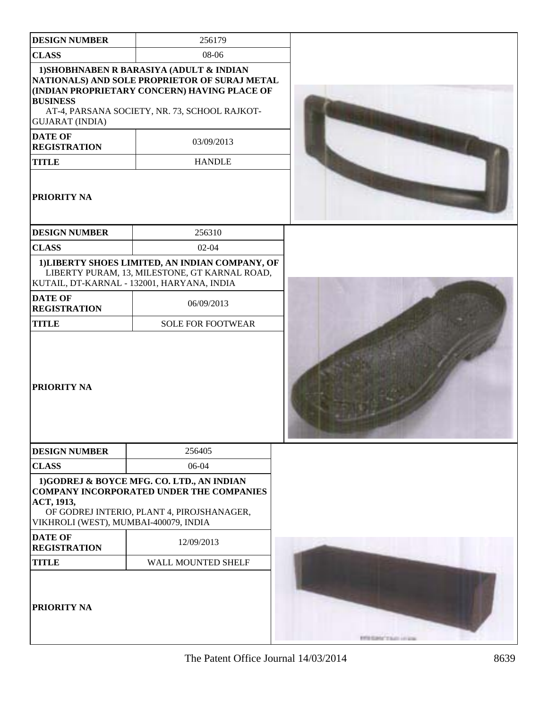| <b>DESIGN NUMBER</b>                                                                                                     | 256179                                                                                                                                                                                                                    |                                            |
|--------------------------------------------------------------------------------------------------------------------------|---------------------------------------------------------------------------------------------------------------------------------------------------------------------------------------------------------------------------|--------------------------------------------|
| <b>CLASS</b>                                                                                                             | 08-06                                                                                                                                                                                                                     |                                            |
| <b>BUSINESS</b><br><b>GUJARAT (INDIA)</b><br><b>DATE OF</b><br><b>REGISTRATION</b><br><b>TITLE</b><br><b>PRIORITY NA</b> | 1) SHOBHNABEN R BARASIYA (ADULT & INDIAN<br>NATIONALS) AND SOLE PROPRIETOR OF SURAJ METAL<br>(INDIAN PROPRIETARY CONCERN) HAVING PLACE OF<br>AT-4, PARSANA SOCIETY, NR. 73, SCHOOL RAJKOT-<br>03/09/2013<br><b>HANDLE</b> |                                            |
| <b>DESIGN NUMBER</b>                                                                                                     | 256310                                                                                                                                                                                                                    |                                            |
| <b>CLASS</b>                                                                                                             | $02 - 04$                                                                                                                                                                                                                 |                                            |
| <b>DATE OF</b>                                                                                                           | 1) LIBERTY SHOES LIMITED, AN INDIAN COMPANY, OF<br>LIBERTY PURAM, 13, MILESTONE, GT KARNAL ROAD,<br>KUTAIL, DT-KARNAL - 132001, HARYANA, INDIA<br>06/09/2013                                                              |                                            |
| <b>REGISTRATION</b><br><b>TITLE</b>                                                                                      | <b>SOLE FOR FOOTWEAR</b>                                                                                                                                                                                                  |                                            |
| <b>PRIORITY NA</b>                                                                                                       |                                                                                                                                                                                                                           |                                            |
| <b>DESIGN NUMBER</b>                                                                                                     | 256405                                                                                                                                                                                                                    |                                            |
| <b>CLASS</b>                                                                                                             | 06-04                                                                                                                                                                                                                     |                                            |
| ACT, 1913,<br>VIKHROLI (WEST), MUMBAI-400079, INDIA                                                                      | 1)GODREJ & BOYCE MFG. CO. LTD., AN INDIAN<br><b>COMPANY INCORPORATED UNDER THE COMPANIES</b><br>OF GODREJ INTERIO, PLANT 4, PIROJSHANAGER,                                                                                |                                            |
| <b>DATE OF</b><br><b>REGISTRATION</b>                                                                                    | 12/09/2013                                                                                                                                                                                                                |                                            |
| <b>TITLE</b>                                                                                                             | WALL MOUNTED SHELF                                                                                                                                                                                                        |                                            |
| <b>PRIORITY NA</b>                                                                                                       |                                                                                                                                                                                                                           | <b>EXECUTIVE AND ARRESTS AND RESIDENCE</b> |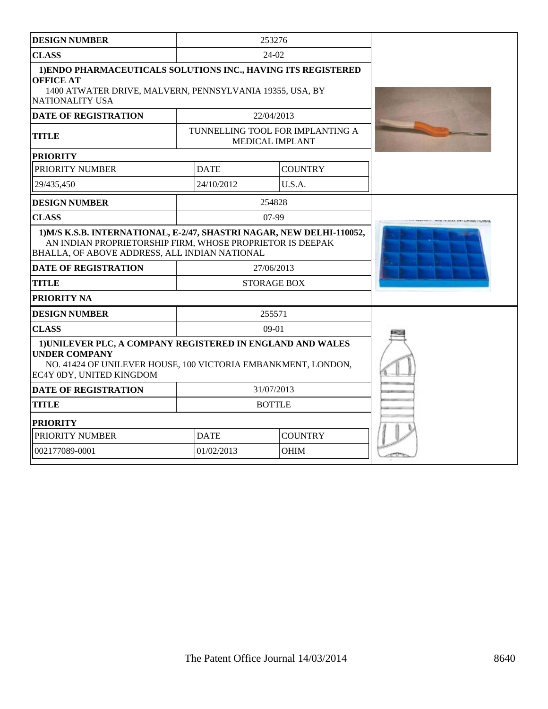| <b>DESIGN NUMBER</b>                                                                                                                                                            |                                                                                                                                                  | 253276                                                     |  |
|---------------------------------------------------------------------------------------------------------------------------------------------------------------------------------|--------------------------------------------------------------------------------------------------------------------------------------------------|------------------------------------------------------------|--|
| <b>CLASS</b>                                                                                                                                                                    |                                                                                                                                                  | $24-02$                                                    |  |
| 1) ENDO PHARMACEUTICALS SOLUTIONS INC., HAVING ITS REGISTERED<br><b>OFFICE AT</b><br>1400 ATWATER DRIVE, MALVERN, PENNSYLVANIA 19355, USA, BY<br><b>NATIONALITY USA</b>         |                                                                                                                                                  |                                                            |  |
| <b>DATE OF REGISTRATION</b>                                                                                                                                                     |                                                                                                                                                  | 22/04/2013                                                 |  |
| <b>TITLE</b>                                                                                                                                                                    |                                                                                                                                                  | TUNNELLING TOOL FOR IMPLANTING A<br><b>MEDICAL IMPLANT</b> |  |
| <b>PRIORITY</b>                                                                                                                                                                 |                                                                                                                                                  |                                                            |  |
| PRIORITY NUMBER                                                                                                                                                                 | <b>DATE</b>                                                                                                                                      | <b>COUNTRY</b>                                             |  |
| 29/435.450                                                                                                                                                                      | 24/10/2012                                                                                                                                       | U.S.A.                                                     |  |
| <b>DESIGN NUMBER</b>                                                                                                                                                            |                                                                                                                                                  | 254828                                                     |  |
| <b>CLASS</b>                                                                                                                                                                    |                                                                                                                                                  | $07-99$                                                    |  |
| BHALLA, OF ABOVE ADDRESS, ALL INDIAN NATIONAL<br><b>DATE OF REGISTRATION</b>                                                                                                    | 1) M/S K.S.B. INTERNATIONAL, E-2/47, SHASTRI NAGAR, NEW DELHI-110052,<br>AN INDIAN PROPRIETORSHIP FIRM, WHOSE PROPRIETOR IS DEEPAK<br>27/06/2013 |                                                            |  |
| <b>TITLE</b>                                                                                                                                                                    |                                                                                                                                                  | <b>STORAGE BOX</b>                                         |  |
| PRIORITY NA                                                                                                                                                                     |                                                                                                                                                  |                                                            |  |
| <b>DESIGN NUMBER</b>                                                                                                                                                            |                                                                                                                                                  | 255571                                                     |  |
| <b>CLASS</b>                                                                                                                                                                    |                                                                                                                                                  | $09-01$                                                    |  |
| 1) UNILEVER PLC, A COMPANY REGISTERED IN ENGLAND AND WALES<br><b>UNDER COMPANY</b><br>NO. 41424 OF UNILEVER HOUSE, 100 VICTORIA EMBANKMENT, LONDON,<br>EC4Y 0DY, UNITED KINGDOM |                                                                                                                                                  |                                                            |  |
| <b>DATE OF REGISTRATION</b>                                                                                                                                                     | 31/07/2013                                                                                                                                       |                                                            |  |
| <b>TITLE</b>                                                                                                                                                                    | <b>BOTTLE</b>                                                                                                                                    |                                                            |  |
| <b>PRIORITY</b>                                                                                                                                                                 |                                                                                                                                                  |                                                            |  |
| PRIORITY NUMBER                                                                                                                                                                 | <b>DATE</b><br><b>COUNTRY</b>                                                                                                                    |                                                            |  |
| 002177089-0001                                                                                                                                                                  | 01/02/2013                                                                                                                                       | OHIM                                                       |  |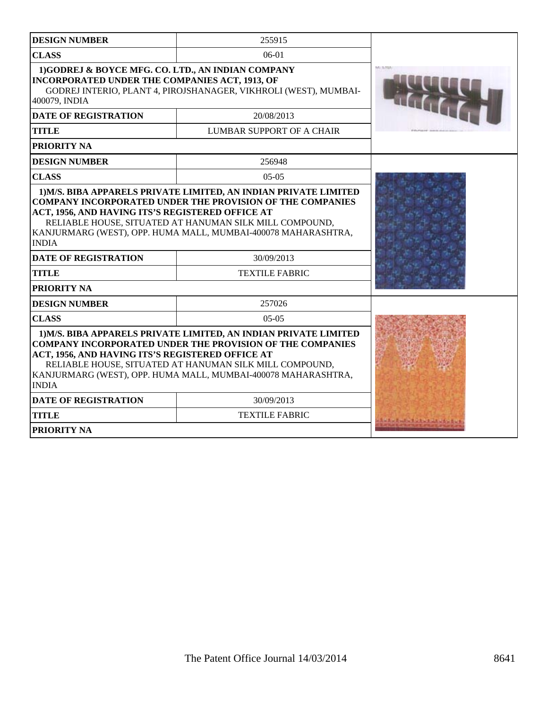| <b>DESIGN NUMBER</b>                                                                                                                                                                                                                                                                                                                 | 255915                           |                      |
|--------------------------------------------------------------------------------------------------------------------------------------------------------------------------------------------------------------------------------------------------------------------------------------------------------------------------------------|----------------------------------|----------------------|
| <b>CLASS</b>                                                                                                                                                                                                                                                                                                                         | $06-01$                          |                      |
| 1)GODREJ & BOYCE MFG. CO. LTD., AN INDIAN COMPANY<br>INCORPORATED UNDER THE COMPANIES ACT, 1913, OF<br>GODREJ INTERIO, PLANT 4, PIROJSHANAGER, VIKHROLI (WEST), MUMBAI-<br>400079, INDIA                                                                                                                                             |                                  |                      |
| <b>DATE OF REGISTRATION</b>                                                                                                                                                                                                                                                                                                          | 20/08/2013                       |                      |
| <b>TITLE</b>                                                                                                                                                                                                                                                                                                                         | <b>LUMBAR SUPPORT OF A CHAIR</b> |                      |
| <b>PRIORITY NA</b>                                                                                                                                                                                                                                                                                                                   |                                  |                      |
| <b>DESIGN NUMBER</b>                                                                                                                                                                                                                                                                                                                 | 256948                           |                      |
| <b>CLASS</b>                                                                                                                                                                                                                                                                                                                         | $05-05$                          |                      |
| <b>COMPANY INCORPORATED UNDER THE PROVISION OF THE COMPANIES</b><br>ACT, 1956, AND HAVING ITS'S REGISTERED OFFICE AT<br>RELIABLE HOUSE, SITUATED AT HANUMAN SILK MILL COMPOUND,<br>KANJURMARG (WEST), OPP. HUMA MALL, MUMBAI-400078 MAHARASHTRA,<br><b>INDIA</b>                                                                     |                                  |                      |
| <b>DATE OF REGISTRATION</b>                                                                                                                                                                                                                                                                                                          | 30/09/2013                       |                      |
| <b>TITLE</b>                                                                                                                                                                                                                                                                                                                         | <b>TEXTILE FABRIC</b>            |                      |
| <b>PRIORITY NA</b>                                                                                                                                                                                                                                                                                                                   |                                  |                      |
| <b>DESIGN NUMBER</b>                                                                                                                                                                                                                                                                                                                 | 257026                           |                      |
| <b>CLASS</b>                                                                                                                                                                                                                                                                                                                         | $0.5 - 0.5$                      |                      |
| 1) M/S. BIBA APPARELS PRIVATE LIMITED, AN INDIAN PRIVATE LIMITED<br><b>COMPANY INCORPORATED UNDER THE PROVISION OF THE COMPANIES</b><br>ACT, 1956, AND HAVING ITS'S REGISTERED OFFICE AT<br>RELIABLE HOUSE, SITUATED AT HANUMAN SILK MILL COMPOUND,<br>KANJURMARG (WEST), OPP. HUMA MALL, MUMBAI-400078 MAHARASHTRA,<br><b>INDIA</b> |                                  |                      |
| <b>DATE OF REGISTRATION</b>                                                                                                                                                                                                                                                                                                          | 30/09/2013                       |                      |
| <b>TITLE</b>                                                                                                                                                                                                                                                                                                                         | <b>TEXTILE FABRIC</b>            | Ale Andre Made Links |
| <b>PRIORITY NA</b>                                                                                                                                                                                                                                                                                                                   |                                  |                      |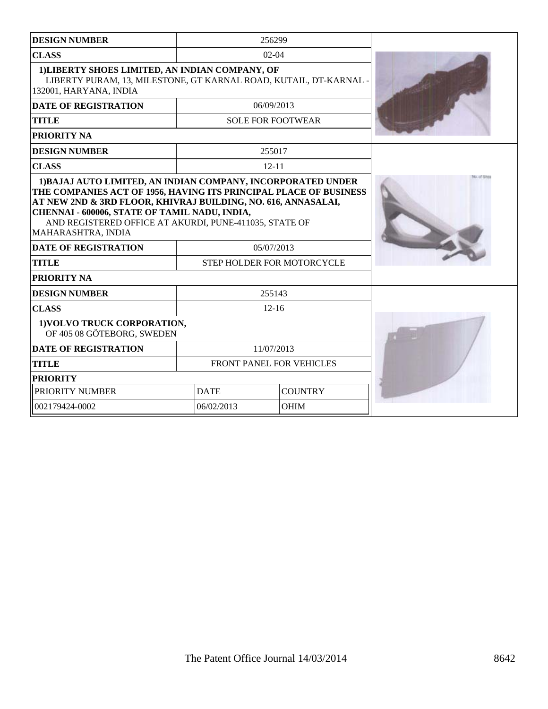| <b>DESIGN NUMBER</b>                                                                                                                           | 256299                                                                                                                                                                                                                                                                                    |                          |  |
|------------------------------------------------------------------------------------------------------------------------------------------------|-------------------------------------------------------------------------------------------------------------------------------------------------------------------------------------------------------------------------------------------------------------------------------------------|--------------------------|--|
| <b>CLASS</b>                                                                                                                                   |                                                                                                                                                                                                                                                                                           | $02-04$                  |  |
| 1) LIBERTY SHOES LIMITED, AN INDIAN COMPANY, OF<br>LIBERTY PURAM, 13, MILESTONE, GT KARNAL ROAD, KUTAIL, DT-KARNAL -<br>132001, HARYANA, INDIA |                                                                                                                                                                                                                                                                                           |                          |  |
| <b>DATE OF REGISTRATION</b>                                                                                                                    |                                                                                                                                                                                                                                                                                           | 06/09/2013               |  |
| <b>TITLE</b>                                                                                                                                   |                                                                                                                                                                                                                                                                                           | <b>SOLE FOR FOOTWEAR</b> |  |
| <b>PRIORITY NA</b>                                                                                                                             |                                                                                                                                                                                                                                                                                           |                          |  |
| <b>DESIGN NUMBER</b>                                                                                                                           |                                                                                                                                                                                                                                                                                           | 255017                   |  |
| <b>CLASS</b>                                                                                                                                   |                                                                                                                                                                                                                                                                                           | $12 - 11$                |  |
| MAHARASHTRA, INDIA<br><b>DATE OF REGISTRATION</b><br><b>TITLE</b>                                                                              | THE COMPANIES ACT OF 1956, HAVING ITS PRINCIPAL PLACE OF BUSINESS<br>AT NEW 2ND & 3RD FLOOR, KHIVRAJ BUILDING, NO. 616, ANNASALAI,<br>CHENNAI - 600006, STATE OF TAMIL NADU, INDIA,<br>AND REGISTERED OFFICE AT AKURDI, PUNE-411035, STATE OF<br>05/07/2013<br>STEP HOLDER FOR MOTORCYCLE |                          |  |
| PRIORITY NA                                                                                                                                    |                                                                                                                                                                                                                                                                                           |                          |  |
| <b>DESIGN NUMBER</b>                                                                                                                           | 255143                                                                                                                                                                                                                                                                                    |                          |  |
| <b>CLASS</b>                                                                                                                                   | $12 - 16$                                                                                                                                                                                                                                                                                 |                          |  |
| 1) VOLVO TRUCK CORPORATION,<br>OF 405 08 GÖTEBORG, SWEDEN                                                                                      |                                                                                                                                                                                                                                                                                           |                          |  |
| <b>DATE OF REGISTRATION</b>                                                                                                                    | 11/07/2013                                                                                                                                                                                                                                                                                |                          |  |
| <b>TITLE</b>                                                                                                                                   | FRONT PANEL FOR VEHICLES                                                                                                                                                                                                                                                                  |                          |  |
| <b>PRIORITY</b>                                                                                                                                |                                                                                                                                                                                                                                                                                           |                          |  |
| PRIORITY NUMBER                                                                                                                                | <b>COUNTRY</b><br><b>DATE</b>                                                                                                                                                                                                                                                             |                          |  |
| 002179424-0002                                                                                                                                 | 06/02/2013<br><b>OHIM</b>                                                                                                                                                                                                                                                                 |                          |  |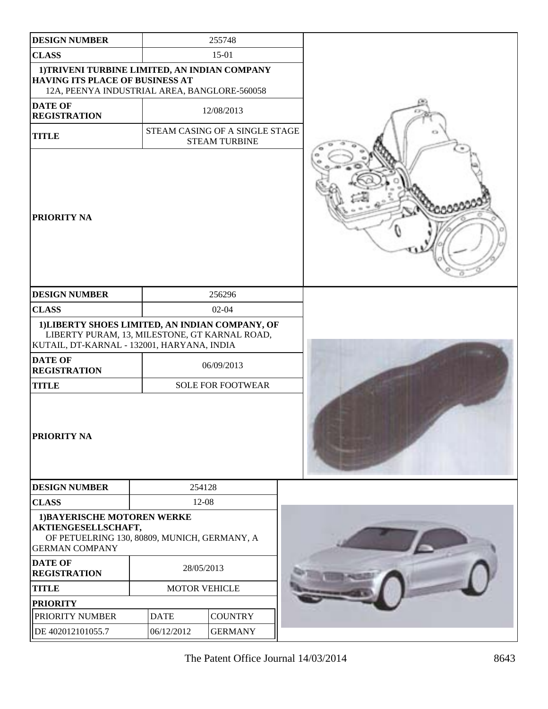| <b>DESIGN NUMBER</b>                                                                                                                           |                      | 255748                                                 |  |
|------------------------------------------------------------------------------------------------------------------------------------------------|----------------------|--------------------------------------------------------|--|
| <b>CLASS</b>                                                                                                                                   |                      | 15-01                                                  |  |
| 1)TRIVENI TURBINE LIMITED, AN INDIAN COMPANY<br>HAVING ITS PLACE OF BUSINESS AT<br>12A, PEENYA INDUSTRIAL AREA, BANGLORE-560058                |                      |                                                        |  |
| <b>DATE OF</b><br><b>REGISTRATION</b>                                                                                                          |                      | 12/08/2013                                             |  |
| <b>TITLE</b>                                                                                                                                   |                      | STEAM CASING OF A SINGLE STAGE<br><b>STEAM TURBINE</b> |  |
| <b>PRIORITY NA</b>                                                                                                                             |                      |                                                        |  |
| <b>DESIGN NUMBER</b>                                                                                                                           |                      | 256296                                                 |  |
| <b>CLASS</b>                                                                                                                                   |                      | $02 - 04$                                              |  |
| 1) LIBERTY SHOES LIMITED, AN INDIAN COMPANY, OF<br>LIBERTY PURAM, 13, MILESTONE, GT KARNAL ROAD,<br>KUTAIL, DT-KARNAL - 132001, HARYANA, INDIA |                      |                                                        |  |
| <b>DATE OF</b><br><b>REGISTRATION</b>                                                                                                          |                      | 06/09/2013                                             |  |
| <b>TITLE</b>                                                                                                                                   |                      | <b>SOLE FOR FOOTWEAR</b>                               |  |
| <b>PRIORITY NA</b>                                                                                                                             |                      |                                                        |  |
| <b>DESIGN NUMBER</b>                                                                                                                           | 254128               |                                                        |  |
| <b>CLASS</b>                                                                                                                                   | $12-08$              |                                                        |  |
| 1) BAYERISCHE MOTOREN WERKE<br>AKTIENGESELLSCHAFT,<br>OF PETUELRING 130, 80809, MUNICH, GERMANY, A<br><b>GERMAN COMPANY</b>                    |                      |                                                        |  |
| <b>DATE OF</b><br><b>REGISTRATION</b>                                                                                                          | 28/05/2013           |                                                        |  |
| <b>TITLE</b>                                                                                                                                   | <b>MOTOR VEHICLE</b> |                                                        |  |
| <b>PRIORITY</b>                                                                                                                                |                      |                                                        |  |
| PRIORITY NUMBER                                                                                                                                | <b>DATE</b>          | <b>COUNTRY</b>                                         |  |
| DE 402012101055.7                                                                                                                              | 06/12/2012           | <b>GERMANY</b>                                         |  |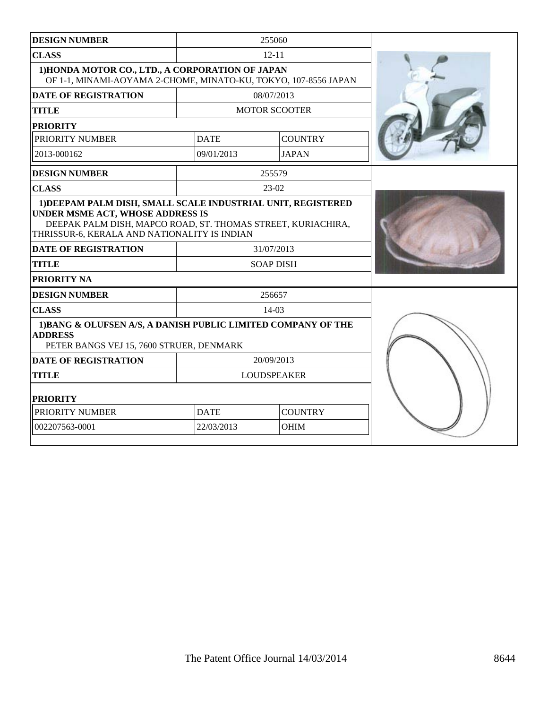| <b>DESIGN NUMBER</b>                                                                                                                                                                                                                                                           |                               | 255060                         |  |
|--------------------------------------------------------------------------------------------------------------------------------------------------------------------------------------------------------------------------------------------------------------------------------|-------------------------------|--------------------------------|--|
| <b>CLASS</b>                                                                                                                                                                                                                                                                   |                               | $12 - 11$                      |  |
| 1) HONDA MOTOR CO., LTD., A CORPORATION OF JAPAN<br>OF 1-1, MINAMI-AOYAMA 2-CHOME, MINATO-KU, TOKYO, 107-8556 JAPAN                                                                                                                                                            |                               |                                |  |
| <b>DATE OF REGISTRATION</b>                                                                                                                                                                                                                                                    |                               | 08/07/2013                     |  |
| <b>TITLE</b>                                                                                                                                                                                                                                                                   |                               | <b>MOTOR SCOOTER</b>           |  |
| <b>PRIORITY</b>                                                                                                                                                                                                                                                                |                               |                                |  |
| PRIORITY NUMBER                                                                                                                                                                                                                                                                | <b>DATE</b>                   | <b>COUNTRY</b>                 |  |
| 2013-000162                                                                                                                                                                                                                                                                    | 09/01/2013                    | <b>JAPAN</b>                   |  |
| <b>DESIGN NUMBER</b>                                                                                                                                                                                                                                                           |                               | 255579                         |  |
| <b>CLASS</b>                                                                                                                                                                                                                                                                   |                               | $23-02$                        |  |
| 1) DEEPAM PALM DISH, SMALL SCALE INDUSTRIAL UNIT, REGISTERED<br>UNDER MSME ACT, WHOSE ADDRESS IS<br>DEEPAK PALM DISH, MAPCO ROAD, ST. THOMAS STREET, KURIACHIRA,<br>THRISSUR-6, KERALA AND NATIONALITY IS INDIAN<br><b>DATE OF REGISTRATION</b><br><b>TITLE</b><br>PRIORITY NA |                               | 31/07/2013<br><b>SOAP DISH</b> |  |
| <b>DESIGN NUMBER</b>                                                                                                                                                                                                                                                           |                               | 256657                         |  |
| <b>CLASS</b>                                                                                                                                                                                                                                                                   |                               | $14-03$                        |  |
| 1) BANG & OLUFSEN A/S, A DANISH PUBLIC LIMITED COMPANY OF THE<br><b>ADDRESS</b><br>PETER BANGS VEJ 15, 7600 STRUER, DENMARK                                                                                                                                                    |                               |                                |  |
| <b>DATE OF REGISTRATION</b>                                                                                                                                                                                                                                                    |                               | 20/09/2013                     |  |
| <b>TITLE</b>                                                                                                                                                                                                                                                                   | <b>LOUDSPEAKER</b>            |                                |  |
| <b>PRIORITY</b>                                                                                                                                                                                                                                                                |                               |                                |  |
| PRIORITY NUMBER                                                                                                                                                                                                                                                                | <b>COUNTRY</b><br><b>DATE</b> |                                |  |
| 002207563-0001                                                                                                                                                                                                                                                                 | 22/03/2013                    | <b>OHIM</b>                    |  |
|                                                                                                                                                                                                                                                                                |                               |                                |  |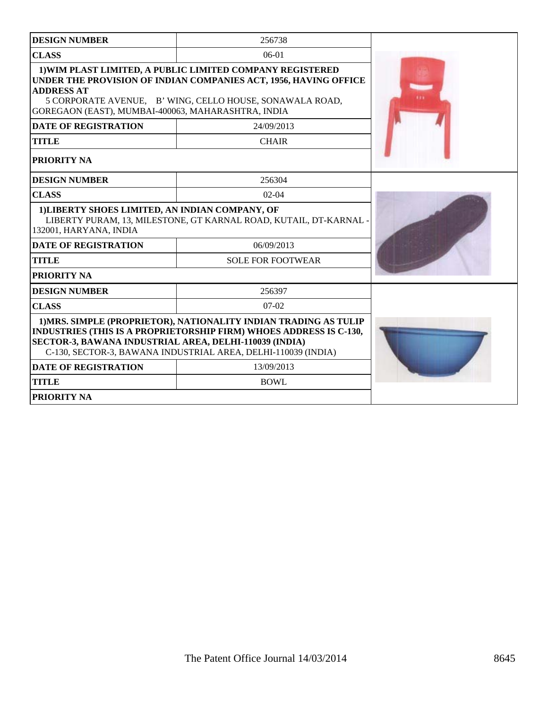| <b>DESIGN NUMBER</b>                                                                                                                                                                                                                                                     | 256738                   |  |
|--------------------------------------------------------------------------------------------------------------------------------------------------------------------------------------------------------------------------------------------------------------------------|--------------------------|--|
| <b>CLASS</b>                                                                                                                                                                                                                                                             | $06-01$                  |  |
| 1) WIM PLAST LIMITED, A PUBLIC LIMITED COMPANY REGISTERED<br>UNDER THE PROVISION OF INDIAN COMPANIES ACT, 1956, HAVING OFFICE<br><b>ADDRESS AT</b><br>5 CORPORATE AVENUE, B' WING, CELLO HOUSE, SONAWALA ROAD,<br>GOREGAON (EAST), MUMBAI-400063, MAHARASHTRA, INDIA     |                          |  |
| <b>DATE OF REGISTRATION</b>                                                                                                                                                                                                                                              | 24/09/2013               |  |
| <b>TITLE</b>                                                                                                                                                                                                                                                             | <b>CHAIR</b>             |  |
| PRIORITY NA                                                                                                                                                                                                                                                              |                          |  |
| <b>DESIGN NUMBER</b>                                                                                                                                                                                                                                                     | 256304                   |  |
| <b>CLASS</b>                                                                                                                                                                                                                                                             | $02-04$                  |  |
| 1) LIBERTY SHOES LIMITED, AN INDIAN COMPANY, OF<br>LIBERTY PURAM, 13, MILESTONE, GT KARNAL ROAD, KUTAIL, DT-KARNAL<br>132001, HARYANA, INDIA                                                                                                                             |                          |  |
| <b>DATE OF REGISTRATION</b>                                                                                                                                                                                                                                              | 06/09/2013               |  |
| <b>TITLE</b>                                                                                                                                                                                                                                                             | <b>SOLE FOR FOOTWEAR</b> |  |
| PRIORITY NA                                                                                                                                                                                                                                                              |                          |  |
| <b>DESIGN NUMBER</b>                                                                                                                                                                                                                                                     | 256397                   |  |
| <b>CLASS</b>                                                                                                                                                                                                                                                             | $07-02$                  |  |
| 1) MRS. SIMPLE (PROPRIETOR), NATIONALITY INDIAN TRADING AS TULIP<br><b>INDUSTRIES (THIS IS A PROPRIETORSHIP FIRM) WHOES ADDRESS IS C-130,</b><br>SECTOR-3, BAWANA INDUSTRIAL AREA, DELHI-110039 (INDIA)<br>C-130, SECTOR-3, BAWANA INDUSTRIAL AREA, DELHI-110039 (INDIA) |                          |  |
| <b>DATE OF REGISTRATION</b>                                                                                                                                                                                                                                              | 13/09/2013               |  |
| <b>TITLE</b>                                                                                                                                                                                                                                                             | <b>BOWL</b>              |  |
| PRIORITY NA                                                                                                                                                                                                                                                              |                          |  |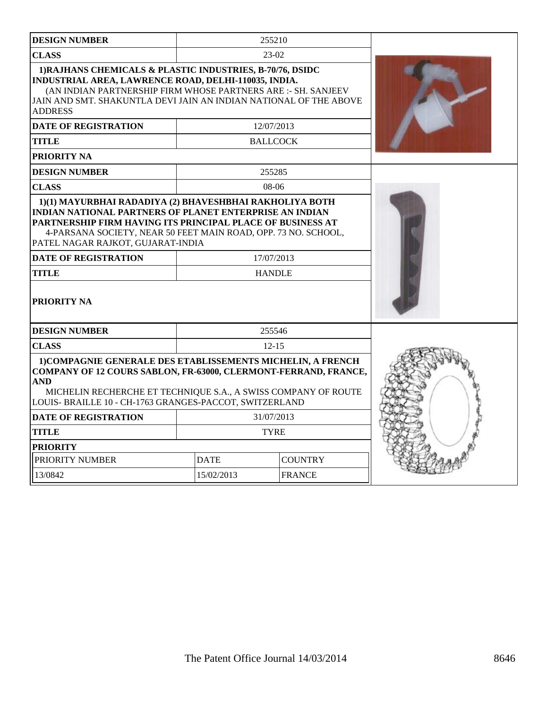| <b>DESIGN NUMBER</b>                                                                                                                                                                                                                                                             |                               | 255210          |  |
|----------------------------------------------------------------------------------------------------------------------------------------------------------------------------------------------------------------------------------------------------------------------------------|-------------------------------|-----------------|--|
| <b>CLASS</b>                                                                                                                                                                                                                                                                     |                               | $23-02$         |  |
| 1) RAJHANS CHEMICALS & PLASTIC INDUSTRIES, B-70/76, DSIDC<br>INDUSTRIAL AREA, LAWRENCE ROAD, DELHI-110035, INDIA.<br>(AN INDIAN PARTNERSHIP FIRM WHOSE PARTNERS ARE :- SH. SANJEEV<br>JAIN AND SMT. SHAKUNTLA DEVI JAIN AN INDIAN NATIONAL OF THE ABOVE<br><b>ADDRESS</b>        |                               |                 |  |
| <b>DATE OF REGISTRATION</b>                                                                                                                                                                                                                                                      |                               | 12/07/2013      |  |
| <b>TITLE</b>                                                                                                                                                                                                                                                                     |                               | <b>BALLCOCK</b> |  |
| PRIORITY NA                                                                                                                                                                                                                                                                      |                               |                 |  |
| <b>DESIGN NUMBER</b>                                                                                                                                                                                                                                                             |                               | 255285          |  |
| <b>CLASS</b>                                                                                                                                                                                                                                                                     |                               | $08-06$         |  |
| <b>INDIAN NATIONAL PARTNERS OF PLANET ENTERPRISE AN INDIAN</b><br>PARTNERSHIP FIRM HAVING ITS PRINCIPAL PLACE OF BUSINESS AT<br>4-PARSANA SOCIETY, NEAR 50 FEET MAIN ROAD, OPP. 73 NO. SCHOOL,<br>PATEL NAGAR RAJKOT, GUJARAT-INDIA<br><b>DATE OF REGISTRATION</b><br>17/07/2013 |                               |                 |  |
| <b>TITLE</b>                                                                                                                                                                                                                                                                     | <b>HANDLE</b>                 |                 |  |
| PRIORITY NA                                                                                                                                                                                                                                                                      |                               |                 |  |
| <b>DESIGN NUMBER</b>                                                                                                                                                                                                                                                             | 255546                        |                 |  |
| <b>CLASS</b>                                                                                                                                                                                                                                                                     | $12 - 15$                     |                 |  |
| 1) COMPAGNIE GENERALE DES ETABLISSEMENTS MICHELIN, A FRENCH<br><b>COMPANY OF 12 COURS SABLON, FR-63000, CLERMONT-FERRAND, FRANCE,</b><br><b>AND</b><br>MICHELIN RECHERCHE ET TECHNIQUE S.A., A SWISS COMPANY OF ROUTE<br>LOUIS- BRAILLE 10 - CH-1763 GRANGES-PACCOT, SWITZERLAND |                               |                 |  |
| <b>DATE OF REGISTRATION</b>                                                                                                                                                                                                                                                      | 31/07/2013                    |                 |  |
| <b>TITLE</b>                                                                                                                                                                                                                                                                     | <b>TYRE</b>                   |                 |  |
| <b>PRIORITY</b>                                                                                                                                                                                                                                                                  |                               |                 |  |
| PRIORITY NUMBER                                                                                                                                                                                                                                                                  | <b>DATE</b><br><b>COUNTRY</b> |                 |  |
| 13/0842                                                                                                                                                                                                                                                                          | 15/02/2013                    | <b>FRANCE</b>   |  |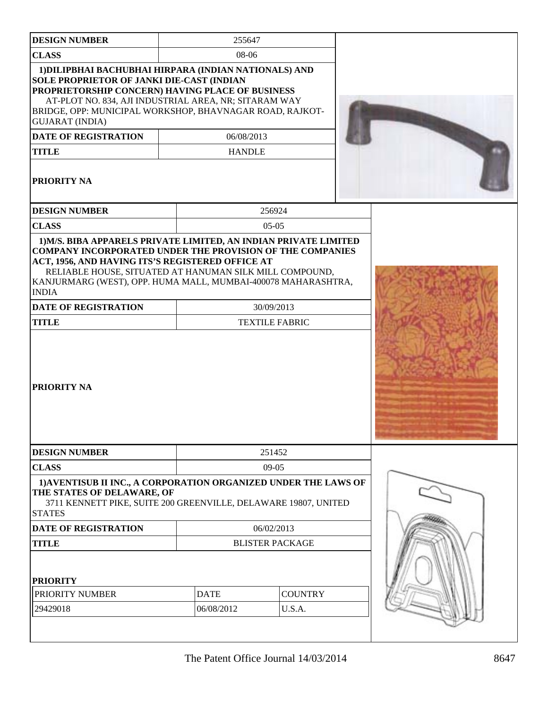| <b>DESIGN NUMBER</b>                                                                                                                                                                                                                                                                                                                                                              | 255647                      |                                     |  |
|-----------------------------------------------------------------------------------------------------------------------------------------------------------------------------------------------------------------------------------------------------------------------------------------------------------------------------------------------------------------------------------|-----------------------------|-------------------------------------|--|
| <b>CLASS</b>                                                                                                                                                                                                                                                                                                                                                                      | 08-06                       |                                     |  |
| 1) DILIPBHAI BACHUBHAI HIRPARA (INDIAN NATIONALS) AND<br><b>SOLE PROPRIETOR OF JANKI DIE-CAST (INDIAN</b><br>PROPRIETORSHIP CONCERN) HAVING PLACE OF BUSINESS<br>AT-PLOT NO. 834, AJI INDUSTRIAL AREA, NR; SITARAM WAY<br>BRIDGE, OPP: MUNICIPAL WORKSHOP, BHAVNAGAR ROAD, RAJKOT-<br><b>GUJARAT (INDIA)</b><br><b>DATE OF REGISTRATION</b><br><b>TITLE</b><br><b>PRIORITY NA</b> | 06/08/2013<br><b>HANDLE</b> |                                     |  |
| <b>DESIGN NUMBER</b>                                                                                                                                                                                                                                                                                                                                                              |                             | 256924                              |  |
| <b>CLASS</b>                                                                                                                                                                                                                                                                                                                                                                      |                             | $05-05$                             |  |
| <b>COMPANY INCORPORATED UNDER THE PROVISION OF THE COMPANIES</b><br>ACT, 1956, AND HAVING ITS'S REGISTERED OFFICE AT<br>RELIABLE HOUSE, SITUATED AT HANUMAN SILK MILL COMPOUND,<br>KANJURMARG (WEST), OPP. HUMA MALL, MUMBAI-400078 MAHARASHTRA,<br><b>INDIA</b><br><b>DATE OF REGISTRATION</b><br><b>TITLE</b>                                                                   |                             | 30/09/2013<br><b>TEXTILE FABRIC</b> |  |
| <b>PRIORITY NA</b>                                                                                                                                                                                                                                                                                                                                                                |                             |                                     |  |
| <b>DESIGN NUMBER</b>                                                                                                                                                                                                                                                                                                                                                              |                             | 251452                              |  |
| <b>CLASS</b>                                                                                                                                                                                                                                                                                                                                                                      |                             | $09-05$                             |  |
| 1) AVENTISUB II INC., A CORPORATION ORGANIZED UNDER THE LAWS OF<br>THE STATES OF DELAWARE, OF<br>3711 KENNETT PIKE, SUITE 200 GREENVILLE, DELAWARE 19807, UNITED<br><b>STATES</b>                                                                                                                                                                                                 |                             |                                     |  |
| <b>DATE OF REGISTRATION</b>                                                                                                                                                                                                                                                                                                                                                       |                             | 06/02/2013                          |  |
| <b>TITLE</b><br><b>PRIORITY</b>                                                                                                                                                                                                                                                                                                                                                   |                             | <b>BLISTER PACKAGE</b>              |  |
| PRIORITY NUMBER                                                                                                                                                                                                                                                                                                                                                                   | <b>DATE</b>                 | <b>COUNTRY</b>                      |  |
| 29429018                                                                                                                                                                                                                                                                                                                                                                          | 06/08/2012                  | U.S.A.                              |  |
|                                                                                                                                                                                                                                                                                                                                                                                   |                             |                                     |  |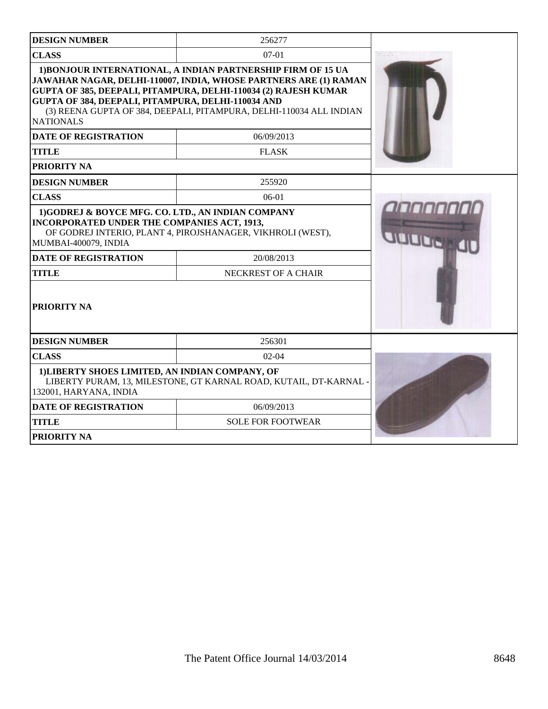| <b>DESIGN NUMBER</b>                                                                                                            | 256277                                                                                                                                                                                                                                                                     |               |
|---------------------------------------------------------------------------------------------------------------------------------|----------------------------------------------------------------------------------------------------------------------------------------------------------------------------------------------------------------------------------------------------------------------------|---------------|
| <b>CLASS</b>                                                                                                                    | basi In                                                                                                                                                                                                                                                                    |               |
| GUPTA OF 384, DEEPALI, PITAMPURA, DELHI-110034 AND<br><b>NATIONALS</b>                                                          | 1) BONJOUR INTERNATIONAL, A INDIAN PARTNERSHIP FIRM OF 15 UA<br>JAWAHAR NAGAR, DELHI-110007, INDIA, WHOSE PARTNERS ARE (1) RAMAN<br>GUPTA OF 385, DEEPALI, PITAMPURA, DELHI-110034 (2) RAJESH KUMAR<br>(3) REENA GUPTA OF 384, DEEPALI, PITAMPURA, DELHI-110034 ALL INDIAN |               |
| <b>DATE OF REGISTRATION</b>                                                                                                     | 06/09/2013                                                                                                                                                                                                                                                                 |               |
| <b>TITLE</b>                                                                                                                    | <b>FLASK</b>                                                                                                                                                                                                                                                               |               |
| <b>PRIORITY NA</b>                                                                                                              |                                                                                                                                                                                                                                                                            |               |
| <b>DESIGN NUMBER</b>                                                                                                            | 255920                                                                                                                                                                                                                                                                     |               |
| <b>CLASS</b>                                                                                                                    | $06-01$                                                                                                                                                                                                                                                                    | <b>IOOOOO</b> |
| 1)GODREJ & BOYCE MFG. CO. LTD., AN INDIAN COMPANY<br><b>INCORPORATED UNDER THE COMPANIES ACT, 1913,</b><br>MUMBAI-400079, INDIA | OF GODREJ INTERIO, PLANT 4, PIROJSHANAGER, VIKHROLI (WEST),                                                                                                                                                                                                                |               |
| <b>DATE OF REGISTRATION</b>                                                                                                     | 20/08/2013                                                                                                                                                                                                                                                                 |               |
| <b>TITLE</b>                                                                                                                    | NECKREST OF A CHAIR                                                                                                                                                                                                                                                        |               |
| <b>PRIORITY NA</b>                                                                                                              |                                                                                                                                                                                                                                                                            |               |
| <b>DESIGN NUMBER</b>                                                                                                            | 256301                                                                                                                                                                                                                                                                     |               |
| <b>CLASS</b>                                                                                                                    |                                                                                                                                                                                                                                                                            |               |
| 1) LIBERTY SHOES LIMITED, AN INDIAN COMPANY, OF<br>132001, HARYANA, INDIA                                                       | LIBERTY PURAM, 13, MILESTONE, GT KARNAL ROAD, KUTAIL, DT-KARNAL                                                                                                                                                                                                            |               |
| <b>DATE OF REGISTRATION</b>                                                                                                     |                                                                                                                                                                                                                                                                            |               |
| <b>TITLE</b>                                                                                                                    | <b>SOLE FOR FOOTWEAR</b>                                                                                                                                                                                                                                                   |               |
| PRIORITY NA                                                                                                                     |                                                                                                                                                                                                                                                                            |               |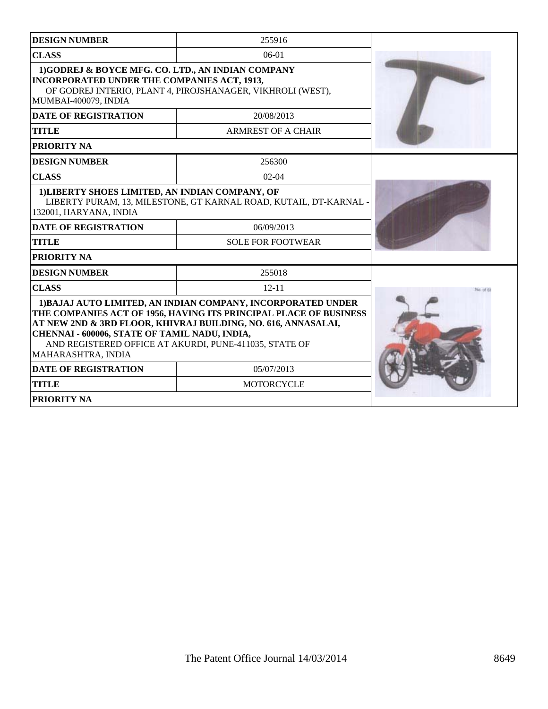| <b>DESIGN NUMBER</b>                                                                                                                           | 255916                                                                                                                                                                                             |  |  |  |
|------------------------------------------------------------------------------------------------------------------------------------------------|----------------------------------------------------------------------------------------------------------------------------------------------------------------------------------------------------|--|--|--|
| <b>CLASS</b>                                                                                                                                   | $06-01$                                                                                                                                                                                            |  |  |  |
| 1)GODREJ & BOYCE MFG. CO. LTD., AN INDIAN COMPANY<br><b>INCORPORATED UNDER THE COMPANIES ACT, 1913,</b><br>MUMBAI-400079, INDIA                | OF GODREJ INTERIO, PLANT 4, PIROJSHANAGER, VIKHROLI (WEST),                                                                                                                                        |  |  |  |
| <b>DATE OF REGISTRATION</b>                                                                                                                    | 20/08/2013                                                                                                                                                                                         |  |  |  |
| <b>TITLE</b>                                                                                                                                   | <b>ARMREST OF A CHAIR</b>                                                                                                                                                                          |  |  |  |
| <b>PRIORITY NA</b>                                                                                                                             |                                                                                                                                                                                                    |  |  |  |
| <b>DESIGN NUMBER</b>                                                                                                                           | 256300                                                                                                                                                                                             |  |  |  |
| <b>CLASS</b>                                                                                                                                   | $02-04$                                                                                                                                                                                            |  |  |  |
| 1) LIBERTY SHOES LIMITED, AN INDIAN COMPANY, OF<br>LIBERTY PURAM, 13, MILESTONE, GT KARNAL ROAD, KUTAIL, DT-KARNAL -<br>132001, HARYANA, INDIA |                                                                                                                                                                                                    |  |  |  |
| <b>DATE OF REGISTRATION</b>                                                                                                                    | 06/09/2013                                                                                                                                                                                         |  |  |  |
| <b>TITLE</b>                                                                                                                                   | <b>SOLE FOR FOOTWEAR</b>                                                                                                                                                                           |  |  |  |
| <b>PRIORITY NA</b>                                                                                                                             |                                                                                                                                                                                                    |  |  |  |
| <b>DESIGN NUMBER</b>                                                                                                                           | 255018                                                                                                                                                                                             |  |  |  |
| <b>CLASS</b>                                                                                                                                   |                                                                                                                                                                                                    |  |  |  |
| CHENNAI - 600006, STATE OF TAMIL NADU, INDIA,<br>AND REGISTERED OFFICE AT AKURDI, PUNE-411035, STATE OF<br>MAHARASHTRA, INDIA                  | 1) BAJAJ AUTO LIMITED, AN INDIAN COMPANY, INCORPORATED UNDER<br>THE COMPANIES ACT OF 1956, HAVING ITS PRINCIPAL PLACE OF BUSINESS<br>AT NEW 2ND & 3RD FLOOR, KHIVRAJ BUILDING, NO. 616, ANNASALAI, |  |  |  |
| <b>DATE OF REGISTRATION</b>                                                                                                                    | 05/07/2013                                                                                                                                                                                         |  |  |  |
| <b>TITLE</b>                                                                                                                                   | <b>MOTORCYCLE</b>                                                                                                                                                                                  |  |  |  |
| <b>PRIORITY NA</b>                                                                                                                             |                                                                                                                                                                                                    |  |  |  |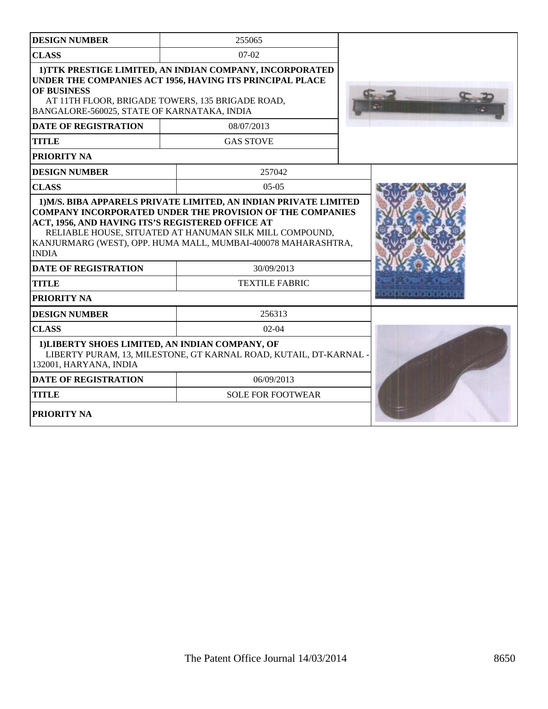| <b>DESIGN NUMBER</b>                                                      | 255065                                                                                                                                                                                       |  |
|---------------------------------------------------------------------------|----------------------------------------------------------------------------------------------------------------------------------------------------------------------------------------------|--|
| <b>CLASS</b>                                                              | $07-02$                                                                                                                                                                                      |  |
| <b>OF BUSINESS</b><br>BANGALORE-560025, STATE OF KARNATAKA, INDIA         | 1) TTK PRESTIGE LIMITED, AN INDIAN COMPANY, INCORPORATED<br>UNDER THE COMPANIES ACT 1956, HAVING ITS PRINCIPAL PLACE<br>AT 11TH FLOOR, BRIGADE TOWERS, 135 BRIGADE ROAD,                     |  |
| <b>DATE OF REGISTRATION</b>                                               | 08/07/2013                                                                                                                                                                                   |  |
| <b>TITLE</b>                                                              | <b>GAS STOVE</b>                                                                                                                                                                             |  |
| PRIORITY NA                                                               |                                                                                                                                                                                              |  |
| <b>DESIGN NUMBER</b>                                                      | 257042                                                                                                                                                                                       |  |
| <b>CLASS</b>                                                              | $05-05$                                                                                                                                                                                      |  |
| ACT, 1956, AND HAVING ITS'S REGISTERED OFFICE AT<br><b>INDIA</b>          | <b>COMPANY INCORPORATED UNDER THE PROVISION OF THE COMPANIES</b><br>RELIABLE HOUSE, SITUATED AT HANUMAN SILK MILL COMPOUND,<br>KANJURMARG (WEST), OPP. HUMA MALL, MUMBAI-400078 MAHARASHTRA, |  |
| 30/09/2013<br><b>DATE OF REGISTRATION</b>                                 |                                                                                                                                                                                              |  |
| <b>TITLE</b><br><b>TEXTILE FABRIC</b>                                     |                                                                                                                                                                                              |  |
| PRIORITY NA                                                               |                                                                                                                                                                                              |  |
| <b>DESIGN NUMBER</b>                                                      | 256313                                                                                                                                                                                       |  |
| <b>CLASS</b>                                                              | $02-04$                                                                                                                                                                                      |  |
| 1) LIBERTY SHOES LIMITED, AN INDIAN COMPANY, OF<br>132001, HARYANA, INDIA | LIBERTY PURAM, 13, MILESTONE, GT KARNAL ROAD, KUTAIL, DT-KARNAL                                                                                                                              |  |
| <b>DATE OF REGISTRATION</b>                                               | 06/09/2013                                                                                                                                                                                   |  |
| <b>TITLE</b>                                                              | <b>SOLE FOR FOOTWEAR</b>                                                                                                                                                                     |  |
| <b>PRIORITY NA</b>                                                        |                                                                                                                                                                                              |  |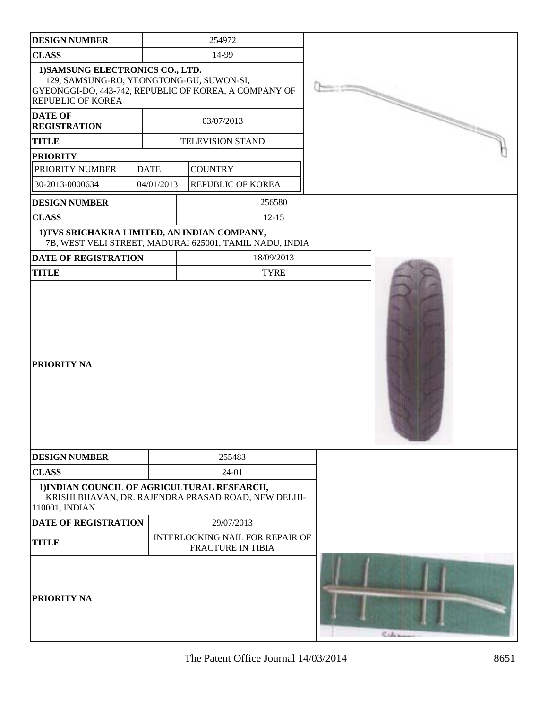| <b>DESIGN NUMBER</b>                                                                              |             | 254972                                                      |                   |          |
|---------------------------------------------------------------------------------------------------|-------------|-------------------------------------------------------------|-------------------|----------|
| <b>CLASS</b>                                                                                      |             | 14-99                                                       |                   |          |
| 1) SAMSUNG ELECTRONICS CO., LTD.<br>129, SAMSUNG-RO, YEONGTONG-GU, SUWON-SI,<br>REPUBLIC OF KOREA |             | GYEONGGI-DO, 443-742, REPUBLIC OF KOREA, A COMPANY OF       | <b>CONTRACTOR</b> |          |
| <b>DATE OF</b><br><b>REGISTRATION</b>                                                             |             | 03/07/2013                                                  |                   |          |
| <b>TITLE</b>                                                                                      |             | <b>TELEVISION STAND</b>                                     |                   |          |
| <b>PRIORITY</b>                                                                                   |             |                                                             |                   |          |
| PRIORITY NUMBER                                                                                   | <b>DATE</b> | <b>COUNTRY</b>                                              |                   |          |
| 30-2013-0000634                                                                                   | 04/01/2013  | REPUBLIC OF KOREA                                           |                   |          |
| <b>DESIGN NUMBER</b>                                                                              |             | 256580                                                      |                   |          |
| <b>CLASS</b>                                                                                      |             | $12 - 15$                                                   |                   |          |
| 1) TVS SRICHAKRA LIMITED, AN INDIAN COMPANY,                                                      |             | 7B, WEST VELI STREET, MADURAI 625001, TAMIL NADU, INDIA     |                   |          |
| <b>DATE OF REGISTRATION</b>                                                                       |             | 18/09/2013                                                  |                   |          |
| <b>TITLE</b>                                                                                      |             | <b>TYRE</b>                                                 |                   |          |
| PRIORITY NA                                                                                       |             |                                                             |                   |          |
| <b>DESIGN NUMBER</b>                                                                              |             | 255483                                                      |                   |          |
| <b>CLASS</b>                                                                                      |             | 24-01                                                       |                   |          |
| 1) INDIAN COUNCIL OF AGRICULTURAL RESEARCH,<br>110001, INDIAN                                     |             | KRISHI BHAVAN, DR. RAJENDRA PRASAD ROAD, NEW DELHI-         |                   |          |
| <b>DATE OF REGISTRATION</b>                                                                       |             | 29/07/2013                                                  |                   |          |
| <b>TITLE</b>                                                                                      |             | INTERLOCKING NAIL FOR REPAIR OF<br><b>FRACTURE IN TIBIA</b> |                   |          |
| PRIORITY NA                                                                                       |             |                                                             |                   | Colonica |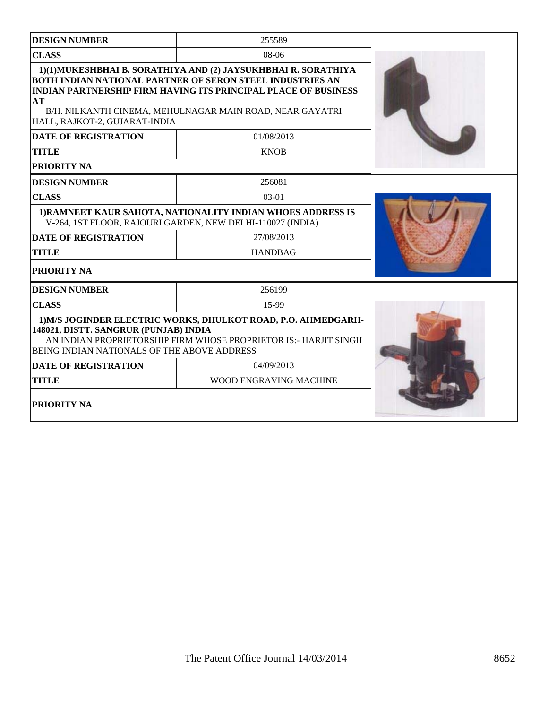| <b>DESIGN NUMBER</b>                                                                                                      | 255589                                                                                                                                                                                                                                                                                              |  |
|---------------------------------------------------------------------------------------------------------------------------|-----------------------------------------------------------------------------------------------------------------------------------------------------------------------------------------------------------------------------------------------------------------------------------------------------|--|
| <b>CLASS</b>                                                                                                              | 08-06                                                                                                                                                                                                                                                                                               |  |
| AT<br>HALL, RAJKOT-2, GUJARAT-INDIA<br><b>DATE OF REGISTRATION</b><br><b>TITLE</b>                                        | 1)(1)MUKESHBHAI B. SORATHIYA AND (2) JAYSUKHBHAI R. SORATHIYA<br><b>BOTH INDIAN NATIONAL PARTNER OF SERON STEEL INDUSTRIES AN</b><br><b>INDIAN PARTNERSHIP FIRM HAVING ITS PRINCIPAL PLACE OF BUSINESS</b><br>B/H. NILKANTH CINEMA, MEHULNAGAR MAIN ROAD, NEAR GAYATRI<br>01/08/2013<br><b>KNOB</b> |  |
| PRIORITY NA                                                                                                               |                                                                                                                                                                                                                                                                                                     |  |
| <b>DESIGN NUMBER</b>                                                                                                      | 256081                                                                                                                                                                                                                                                                                              |  |
| <b>CLASS</b>                                                                                                              | $03-01$                                                                                                                                                                                                                                                                                             |  |
| 1) RAMNEET KAUR SAHOTA, NATIONALITY INDIAN WHOES ADDRESS IS<br>V-264, 1ST FLOOR, RAJOURI GARDEN, NEW DELHI-110027 (INDIA) |                                                                                                                                                                                                                                                                                                     |  |
| <b>DATE OF REGISTRATION</b>                                                                                               | 27/08/2013                                                                                                                                                                                                                                                                                          |  |
| <b>TITLE</b>                                                                                                              | <b>HANDBAG</b>                                                                                                                                                                                                                                                                                      |  |
| PRIORITY NA                                                                                                               |                                                                                                                                                                                                                                                                                                     |  |
| <b>DESIGN NUMBER</b>                                                                                                      | 256199                                                                                                                                                                                                                                                                                              |  |
| <b>CLASS</b>                                                                                                              | 15-99                                                                                                                                                                                                                                                                                               |  |
| 148021, DISTT. SANGRUR (PUNJAB) INDIA<br>BEING INDIAN NATIONALS OF THE ABOVE ADDRESS                                      | 1) M/S JOGINDER ELECTRIC WORKS, DHULKOT ROAD, P.O. AHMEDGARH-<br>AN INDIAN PROPRIETORSHIP FIRM WHOSE PROPRIETOR IS:- HARJIT SINGH                                                                                                                                                                   |  |
| <b>DATE OF REGISTRATION</b>                                                                                               | 04/09/2013                                                                                                                                                                                                                                                                                          |  |
| <b>TITLE</b>                                                                                                              | WOOD ENGRAVING MACHINE                                                                                                                                                                                                                                                                              |  |
| PRIORITY NA                                                                                                               |                                                                                                                                                                                                                                                                                                     |  |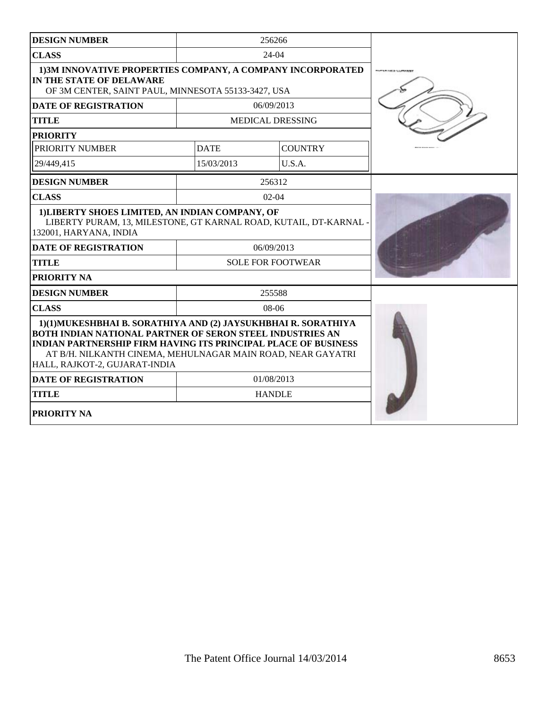| <b>DESIGN NUMBER</b>                                                                                                                                                                                                                                                                                       |             | 256266                   |  |
|------------------------------------------------------------------------------------------------------------------------------------------------------------------------------------------------------------------------------------------------------------------------------------------------------------|-------------|--------------------------|--|
| <b>CLASS</b>                                                                                                                                                                                                                                                                                               |             | 24-04                    |  |
| 1) 3M INNOVATIVE PROPERTIES COMPANY, A COMPANY INCORPORATED<br>IN THE STATE OF DELAWARE<br>OF 3M CENTER, SAINT PAUL, MINNESOTA 55133-3427, USA                                                                                                                                                             |             |                          |  |
| <b>DATE OF REGISTRATION</b>                                                                                                                                                                                                                                                                                |             | 06/09/2013               |  |
| <b>TITLE</b>                                                                                                                                                                                                                                                                                               |             | MEDICAL DRESSING         |  |
| <b>PRIORITY</b>                                                                                                                                                                                                                                                                                            |             |                          |  |
| PRIORITY NUMBER                                                                                                                                                                                                                                                                                            | <b>DATE</b> | <b>COUNTRY</b>           |  |
| 29/449.415                                                                                                                                                                                                                                                                                                 | 15/03/2013  | U.S.A.                   |  |
| <b>DESIGN NUMBER</b>                                                                                                                                                                                                                                                                                       |             | 256312                   |  |
| <b>CLASS</b>                                                                                                                                                                                                                                                                                               |             | $02 - 04$                |  |
| 1) LIBERTY SHOES LIMITED, AN INDIAN COMPANY, OF<br>LIBERTY PURAM, 13, MILESTONE, GT KARNAL ROAD, KUTAIL, DT-KARNAL -<br>132001, HARYANA, INDIA                                                                                                                                                             |             |                          |  |
| <b>DATE OF REGISTRATION</b>                                                                                                                                                                                                                                                                                |             | 06/09/2013               |  |
| <b>TITLE</b>                                                                                                                                                                                                                                                                                               |             | <b>SOLE FOR FOOTWEAR</b> |  |
| <b>PRIORITY NA</b>                                                                                                                                                                                                                                                                                         |             |                          |  |
| <b>DESIGN NUMBER</b>                                                                                                                                                                                                                                                                                       |             | 255588                   |  |
| <b>CLASS</b>                                                                                                                                                                                                                                                                                               |             | $08-06$                  |  |
| 1)(1)MUKESHBHAI B. SORATHIYA AND (2) JAYSUKHBHAI R. SORATHIYA<br><b>BOTH INDIAN NATIONAL PARTNER OF SERON STEEL INDUSTRIES AN</b><br><b>INDIAN PARTNERSHIP FIRM HAVING ITS PRINCIPAL PLACE OF BUSINESS</b><br>AT B/H. NILKANTH CINEMA, MEHULNAGAR MAIN ROAD, NEAR GAYATRI<br>HALL, RAJKOT-2, GUJARAT-INDIA |             |                          |  |
| <b>DATE OF REGISTRATION</b>                                                                                                                                                                                                                                                                                |             | 01/08/2013               |  |
| <b>TITLE</b>                                                                                                                                                                                                                                                                                               |             | <b>HANDLE</b>            |  |
| <b>PRIORITY NA</b>                                                                                                                                                                                                                                                                                         |             |                          |  |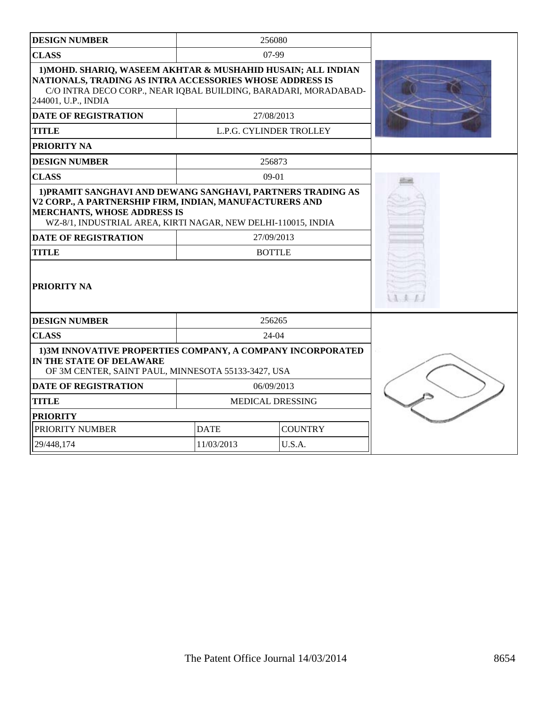| <b>DESIGN NUMBER</b>                                                                                                                                                                                                                                                         | 256080                        |                         |  |
|------------------------------------------------------------------------------------------------------------------------------------------------------------------------------------------------------------------------------------------------------------------------------|-------------------------------|-------------------------|--|
| <b>CLASS</b>                                                                                                                                                                                                                                                                 |                               | 07-99                   |  |
| 1) MOHD. SHARIQ, WASEEM AKHTAR & MUSHAHID HUSAIN; ALL INDIAN<br>NATIONALS, TRADING AS INTRA ACCESSORIES WHOSE ADDRESS IS<br>C/O INTRA DECO CORP., NEAR IQBAL BUILDING, BARADARI, MORADABAD-<br>244001, U.P., INDIA                                                           |                               |                         |  |
| <b>DATE OF REGISTRATION</b>                                                                                                                                                                                                                                                  |                               | 27/08/2013              |  |
| <b>TITLE</b>                                                                                                                                                                                                                                                                 |                               | L.P.G. CYLINDER TROLLEY |  |
| PRIORITY NA                                                                                                                                                                                                                                                                  |                               |                         |  |
| <b>DESIGN NUMBER</b>                                                                                                                                                                                                                                                         |                               | 256873                  |  |
| <b>CLASS</b>                                                                                                                                                                                                                                                                 |                               | $09-01$                 |  |
| 1) PRAMIT SANGHAVI AND DEWANG SANGHAVI, PARTNERS TRADING AS<br>V2 CORP., A PARTNERSHIP FIRM, INDIAN, MANUFACTURERS AND<br><b>MERCHANTS, WHOSE ADDRESS IS</b><br>WZ-8/1, INDUSTRIAL AREA, KIRTI NAGAR, NEW DELHI-110015, INDIA<br><b>DATE OF REGISTRATION</b><br><b>TITLE</b> | 27/09/2013<br><b>BOTTLE</b>   |                         |  |
| PRIORITY NA                                                                                                                                                                                                                                                                  |                               |                         |  |
| <b>DESIGN NUMBER</b>                                                                                                                                                                                                                                                         |                               | 256265                  |  |
| <b>CLASS</b>                                                                                                                                                                                                                                                                 |                               | 24-04                   |  |
| 1) 3M INNOVATIVE PROPERTIES COMPANY, A COMPANY INCORPORATED<br>IN THE STATE OF DELAWARE<br>OF 3M CENTER, SAINT PAUL, MINNESOTA 55133-3427, USA                                                                                                                               |                               |                         |  |
| <b>DATE OF REGISTRATION</b>                                                                                                                                                                                                                                                  |                               | 06/09/2013              |  |
| <b>TITLE</b>                                                                                                                                                                                                                                                                 |                               | MEDICAL DRESSING        |  |
| <b>PRIORITY</b>                                                                                                                                                                                                                                                              |                               |                         |  |
| PRIORITY NUMBER                                                                                                                                                                                                                                                              | <b>DATE</b><br><b>COUNTRY</b> |                         |  |
| 29/448,174                                                                                                                                                                                                                                                                   | 11/03/2013<br>U.S.A.          |                         |  |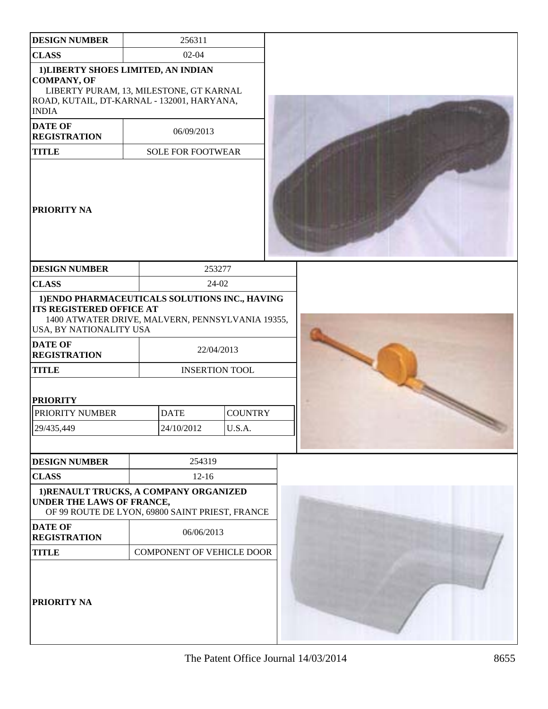| <b>DESIGN NUMBER</b>                                                                                                                                               | 256311                           |                       |  |  |  |  |
|--------------------------------------------------------------------------------------------------------------------------------------------------------------------|----------------------------------|-----------------------|--|--|--|--|
| <b>CLASS</b>                                                                                                                                                       | $02 - 04$                        |                       |  |  |  |  |
| 1) LIBERTY SHOES LIMITED, AN INDIAN<br><b>COMPANY, OF</b><br>LIBERTY PURAM, 13, MILESTONE, GT KARNAL<br>ROAD, KUTAIL, DT-KARNAL - 132001, HARYANA,<br><b>INDIA</b> |                                  |                       |  |  |  |  |
| <b>DATE OF</b><br><b>REGISTRATION</b>                                                                                                                              | 06/09/2013                       |                       |  |  |  |  |
| <b>TITLE</b>                                                                                                                                                       | <b>SOLE FOR FOOTWEAR</b>         |                       |  |  |  |  |
| <b>PRIORITY NA</b>                                                                                                                                                 |                                  |                       |  |  |  |  |
| <b>DESIGN NUMBER</b>                                                                                                                                               |                                  | 253277                |  |  |  |  |
| <b>CLASS</b>                                                                                                                                                       |                                  | 24-02                 |  |  |  |  |
| 1) ENDO PHARMACEUTICALS SOLUTIONS INC., HAVING<br><b>ITS REGISTERED OFFICE AT</b><br>1400 ATWATER DRIVE, MALVERN, PENNSYLVANIA 19355,<br>USA, BY NATIONALITY USA   |                                  |                       |  |  |  |  |
| <b>DATE OF</b><br><b>REGISTRATION</b>                                                                                                                              |                                  | 22/04/2013            |  |  |  |  |
| <b>TITLE</b>                                                                                                                                                       |                                  | <b>INSERTION TOOL</b> |  |  |  |  |
| <b>PRIORITY</b>                                                                                                                                                    |                                  |                       |  |  |  |  |
| PRIORITY NUMBER                                                                                                                                                    | <b>DATE</b>                      | <b>COUNTRY</b>        |  |  |  |  |
| 29/435,449                                                                                                                                                         | 24/10/2012                       | U.S.A.                |  |  |  |  |
|                                                                                                                                                                    |                                  |                       |  |  |  |  |
| <b>DESIGN NUMBER</b>                                                                                                                                               | 254319                           |                       |  |  |  |  |
| <b>CLASS</b>                                                                                                                                                       | $12 - 16$                        |                       |  |  |  |  |
| 1) RENAULT TRUCKS, A COMPANY ORGANIZED<br>UNDER THE LAWS OF FRANCE,<br>OF 99 ROUTE DE LYON, 69800 SAINT PRIEST, FRANCE                                             |                                  |                       |  |  |  |  |
| <b>DATE OF</b><br><b>REGISTRATION</b>                                                                                                                              | 06/06/2013                       |                       |  |  |  |  |
| <b>TITLE</b>                                                                                                                                                       | <b>COMPONENT OF VEHICLE DOOR</b> |                       |  |  |  |  |
| <b>PRIORITY NA</b>                                                                                                                                                 |                                  |                       |  |  |  |  |